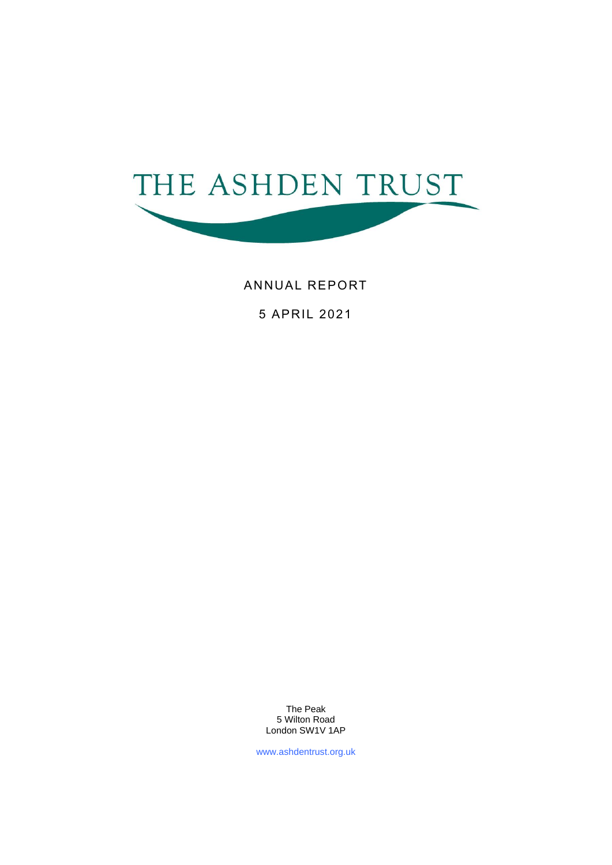

ANNUAL REPORT

5 APRIL 2021

The Peak 5 Wilton Road London SW1V 1AP

www.ashdentrust.org.uk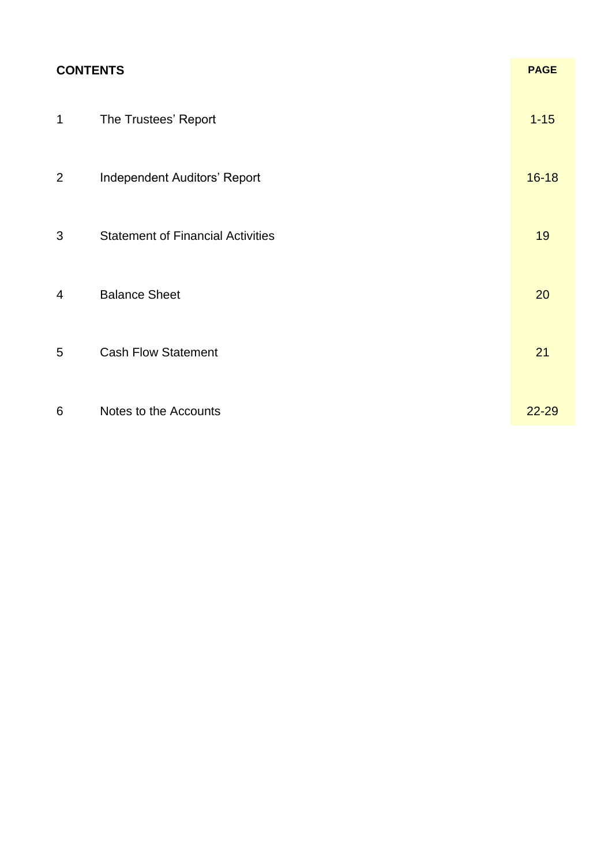| <b>CONTENTS</b> |                                          | <b>PAGE</b> |
|-----------------|------------------------------------------|-------------|
| $\mathbf 1$     | The Trustees' Report                     | $1 - 15$    |
| $\overline{2}$  | Independent Auditors' Report             | $16 - 18$   |
| 3               | <b>Statement of Financial Activities</b> | 19          |
| 4               | <b>Balance Sheet</b>                     | 20          |
| 5               | <b>Cash Flow Statement</b>               | 21          |
| 6               | Notes to the Accounts                    | 22-29       |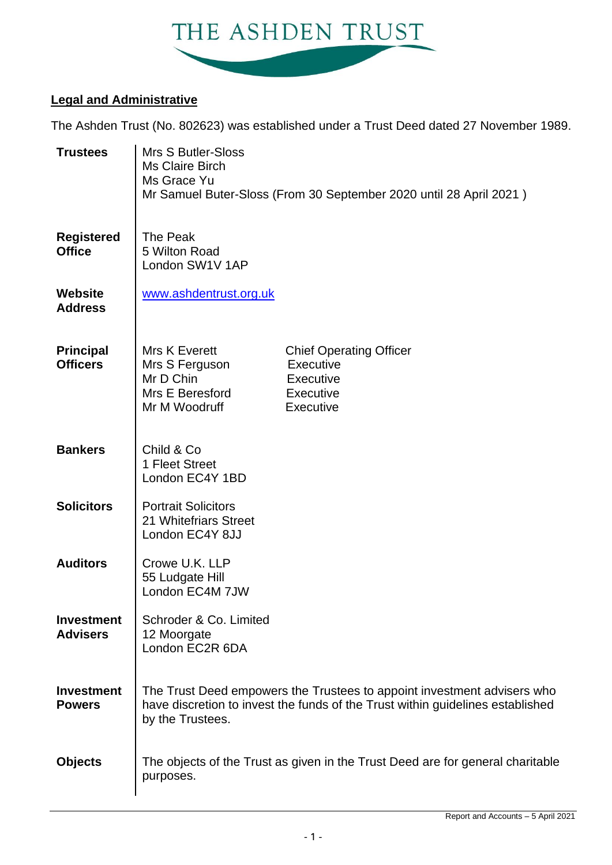

### **Legal and Administrative**

The Ashden Trust (No. 802623) was established under a Trust Deed dated 27 November 1989.

| <b>Trustees</b>                      | Mrs S Butler-Sloss<br><b>Ms Claire Birch</b><br>Ms Grace Yu<br>Mr Samuel Buter-Sloss (From 30 September 2020 until 28 April 2021) |                                                                                                                                                           |  |  |  |
|--------------------------------------|-----------------------------------------------------------------------------------------------------------------------------------|-----------------------------------------------------------------------------------------------------------------------------------------------------------|--|--|--|
| <b>Registered</b><br><b>Office</b>   | The Peak<br>5 Wilton Road<br>London SW1V 1AP                                                                                      |                                                                                                                                                           |  |  |  |
| <b>Website</b><br><b>Address</b>     | www.ashdentrust.org.uk                                                                                                            |                                                                                                                                                           |  |  |  |
| <b>Principal</b><br><b>Officers</b>  | Mrs K Everett<br>Mrs S Ferguson<br>Mr D Chin<br>Mrs E Beresford<br>Mr M Woodruff                                                  | <b>Chief Operating Officer</b><br>Executive<br><b>Executive</b><br>Executive<br>Executive                                                                 |  |  |  |
| <b>Bankers</b>                       | Child & Co<br>1 Fleet Street<br>London EC4Y 1BD                                                                                   |                                                                                                                                                           |  |  |  |
| <b>Solicitors</b>                    | <b>Portrait Solicitors</b><br>21 Whitefriars Street<br>London EC4Y 8JJ                                                            |                                                                                                                                                           |  |  |  |
| <b>Auditors</b>                      | Crowe U.K. LLP<br>55 Ludgate Hill<br>London EC4M 7JW                                                                              |                                                                                                                                                           |  |  |  |
| <b>Investment</b><br><b>Advisers</b> | Schroder & Co. Limited<br>12 Moorgate<br>London EC2R 6DA                                                                          |                                                                                                                                                           |  |  |  |
| <b>Investment</b><br><b>Powers</b>   | by the Trustees.                                                                                                                  | The Trust Deed empowers the Trustees to appoint investment advisers who<br>have discretion to invest the funds of the Trust within guidelines established |  |  |  |
| <b>Objects</b>                       | purposes.                                                                                                                         | The objects of the Trust as given in the Trust Deed are for general charitable                                                                            |  |  |  |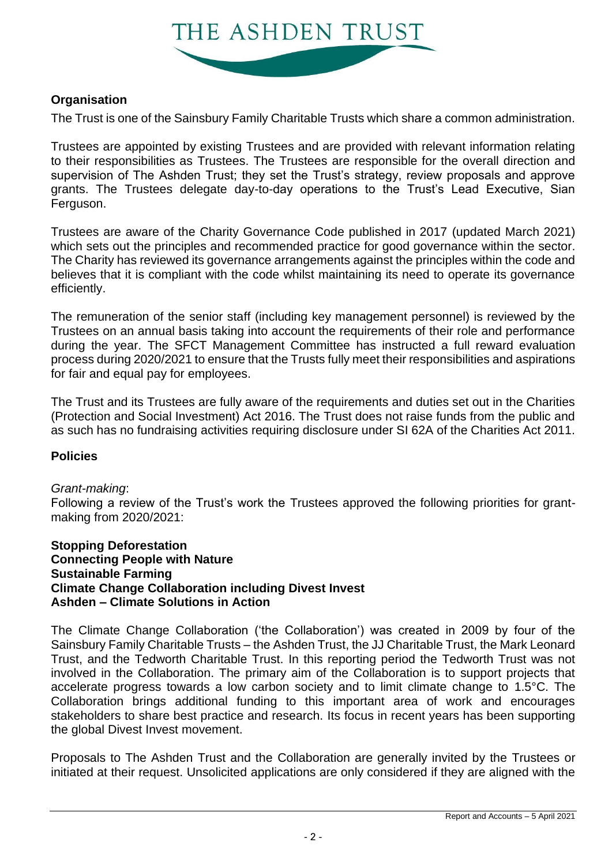

### **Organisation**

The Trust is one of the Sainsbury Family Charitable Trusts which share a common administration.

Trustees are appointed by existing Trustees and are provided with relevant information relating to their responsibilities as Trustees. The Trustees are responsible for the overall direction and supervision of The Ashden Trust; they set the Trust's strategy, review proposals and approve grants. The Trustees delegate day-to-day operations to the Trust's Lead Executive, Sian Ferguson.

Trustees are aware of the Charity Governance Code published in 2017 (updated March 2021) which sets out the principles and recommended practice for good governance within the sector. The Charity has reviewed its governance arrangements against the principles within the code and believes that it is compliant with the code whilst maintaining its need to operate its governance efficiently.

The remuneration of the senior staff (including key management personnel) is reviewed by the Trustees on an annual basis taking into account the requirements of their role and performance during the year. The SFCT Management Committee has instructed a full reward evaluation process during 2020/2021 to ensure that the Trusts fully meet their responsibilities and aspirations for fair and equal pay for employees.

The Trust and its Trustees are fully aware of the requirements and duties set out in the Charities (Protection and Social Investment) Act 2016. The Trust does not raise funds from the public and as such has no fundraising activities requiring disclosure under SI 62A of the Charities Act 2011.

### **Policies**

### *Grant-making*:

Following a review of the Trust's work the Trustees approved the following priorities for grantmaking from 2020/2021:

### **Stopping Deforestation Connecting People with Nature Sustainable Farming Climate Change Collaboration including Divest Invest Ashden – Climate Solutions in Action**

The Climate Change Collaboration ('the Collaboration') was created in 2009 by four of the Sainsbury Family Charitable Trusts – the Ashden Trust, the JJ Charitable Trust, the Mark Leonard Trust, and the Tedworth Charitable Trust. In this reporting period the Tedworth Trust was not involved in the Collaboration. The primary aim of the Collaboration is to support projects that accelerate progress towards a low carbon society and to limit climate change to 1.5°C. The Collaboration brings additional funding to this important area of work and encourages stakeholders to share best practice and research. Its focus in recent years has been supporting the global Divest Invest movement.

Proposals to The Ashden Trust and the Collaboration are generally invited by the Trustees or initiated at their request. Unsolicited applications are only considered if they are aligned with the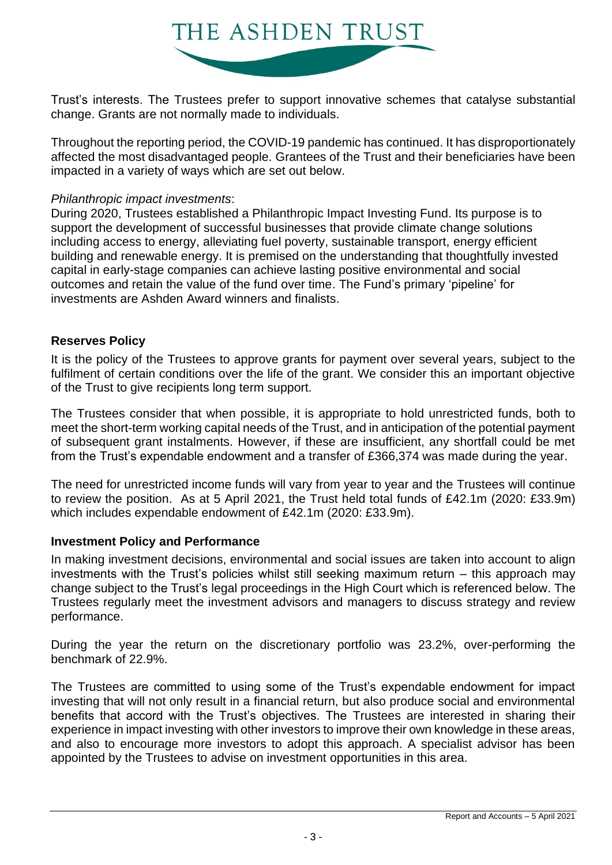

Trust's interests. The Trustees prefer to support innovative schemes that catalyse substantial change. Grants are not normally made to individuals.

Throughout the reporting period, the COVID-19 pandemic has continued. It has disproportionately affected the most disadvantaged people. Grantees of the Trust and their beneficiaries have been impacted in a variety of ways which are set out below.

### *Philanthropic impact investments*:

During 2020, Trustees established a Philanthropic Impact Investing Fund. Its purpose is to support the development of successful businesses that provide climate change solutions including access to energy, alleviating fuel poverty, sustainable transport, energy efficient building and renewable energy. It is premised on the understanding that thoughtfully invested capital in early-stage companies can achieve lasting positive environmental and social outcomes and retain the value of the fund over time. The Fund's primary 'pipeline' for investments are Ashden Award winners and finalists.

### **Reserves Policy**

It is the policy of the Trustees to approve grants for payment over several years, subject to the fulfilment of certain conditions over the life of the grant. We consider this an important objective of the Trust to give recipients long term support.

The Trustees consider that when possible, it is appropriate to hold unrestricted funds, both to meet the short-term working capital needs of the Trust, and in anticipation of the potential payment of subsequent grant instalments. However, if these are insufficient, any shortfall could be met from the Trust's expendable endowment and a transfer of £366,374 was made during the year.

The need for unrestricted income funds will vary from year to year and the Trustees will continue to review the position. As at 5 April 2021, the Trust held total funds of £42.1m (2020: £33.9m) which includes expendable endowment of £42.1m (2020: £33.9m).

### **Investment Policy and Performance**

In making investment decisions, environmental and social issues are taken into account to align investments with the Trust's policies whilst still seeking maximum return – this approach may change subject to the Trust's legal proceedings in the High Court which is referenced below. The Trustees regularly meet the investment advisors and managers to discuss strategy and review performance.

During the year the return on the discretionary portfolio was 23.2%, over-performing the benchmark of 22.9%.

The Trustees are committed to using some of the Trust's expendable endowment for impact investing that will not only result in a financial return, but also produce social and environmental benefits that accord with the Trust's objectives. The Trustees are interested in sharing their experience in impact investing with other investors to improve their own knowledge in these areas, and also to encourage more investors to adopt this approach. A specialist advisor has been appointed by the Trustees to advise on investment opportunities in this area.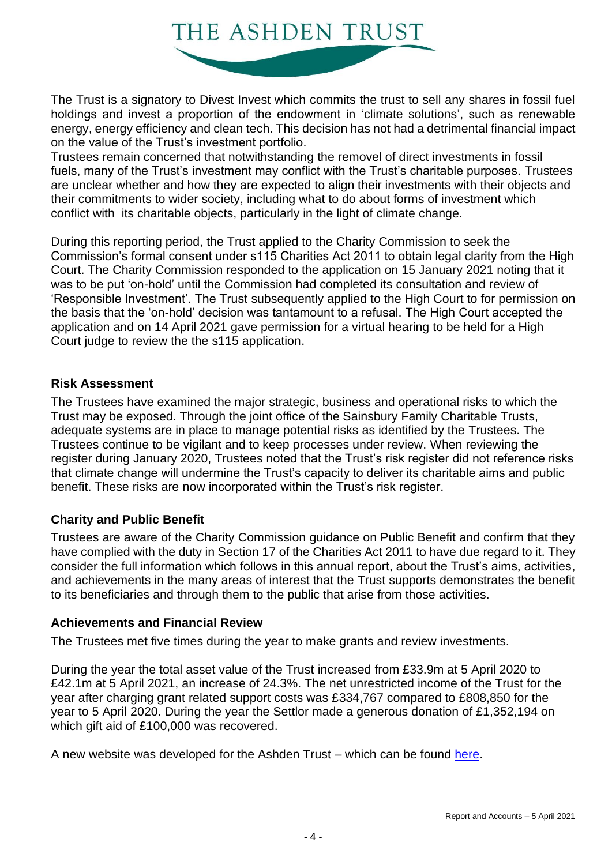

The Trust is a signatory to Divest Invest which commits the trust to sell any shares in fossil fuel holdings and invest a proportion of the endowment in 'climate solutions', such as renewable energy, energy efficiency and clean tech. This decision has not had a detrimental financial impact on the value of the Trust's investment portfolio.

Trustees remain concerned that notwithstanding the removel of direct investments in fossil fuels, many of the Trust's investment may conflict with the Trust's charitable purposes. Trustees are unclear whether and how they are expected to align their investments with their objects and their commitments to wider society, including what to do about forms of investment which conflict with its charitable objects, particularly in the light of climate change.

During this reporting period, the Trust applied to the Charity Commission to seek the Commission's formal consent under s115 Charities Act 2011 to obtain legal clarity from the High Court. The Charity Commission responded to the application on 15 January 2021 noting that it was to be put 'on-hold' until the Commission had completed its consultation and review of 'Responsible Investment'. The Trust subsequently applied to the High Court to for permission on the basis that the 'on-hold' decision was tantamount to a refusal. The High Court accepted the application and on 14 April 2021 gave permission for a virtual hearing to be held for a High Court judge to review the the s115 application.

### **Risk Assessment**

The Trustees have examined the major strategic, business and operational risks to which the Trust may be exposed. Through the joint office of the Sainsbury Family Charitable Trusts, adequate systems are in place to manage potential risks as identified by the Trustees. The Trustees continue to be vigilant and to keep processes under review. When reviewing the register during January 2020, Trustees noted that the Trust's risk register did not reference risks that climate change will undermine the Trust's capacity to deliver its charitable aims and public benefit. These risks are now incorporated within the Trust's risk register.

### **Charity and Public Benefit**

Trustees are aware of the Charity Commission guidance on Public Benefit and confirm that they have complied with the duty in Section 17 of the Charities Act 2011 to have due regard to it. They consider the full information which follows in this annual report, about the Trust's aims, activities, and achievements in the many areas of interest that the Trust supports demonstrates the benefit to its beneficiaries and through them to the public that arise from those activities.

### **Achievements and Financial Review**

The Trustees met five times during the year to make grants and review investments.

During the year the total asset value of the Trust increased from £33.9m at 5 April 2020 to £42.1m at 5 April 2021, an increase of 24.3%. The net unrestricted income of the Trust for the year after charging grant related support costs was £334,767 compared to £808,850 for the year to 5 April 2020. During the year the Settlor made a generous donation of £1,352,194 on which gift aid of £100,000 was recovered.

A new website was developed for the Ashden Trust – which can be found [here.](https://ashdentrust.org.uk/)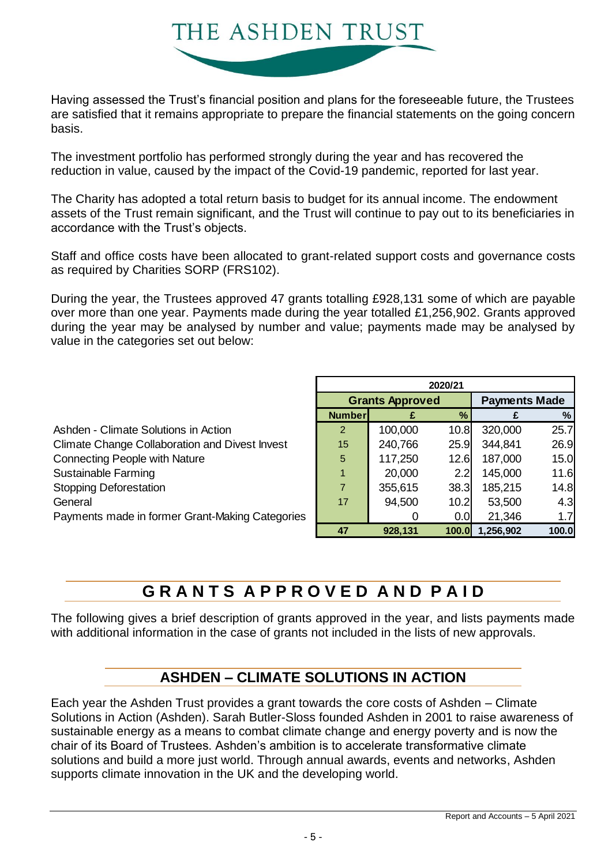

Having assessed the Trust's financial position and plans for the foreseeable future, the Trustees are satisfied that it remains appropriate to prepare the financial statements on the going concern basis.

The investment portfolio has performed strongly during the year and has recovered the reduction in value, caused by the impact of the Covid-19 pandemic, reported for last year.

The Charity has adopted a total return basis to budget for its annual income. The endowment assets of the Trust remain significant, and the Trust will continue to pay out to its beneficiaries in accordance with the Trust's objects.

Staff and office costs have been allocated to grant-related support costs and governance costs as required by Charities SORP (FRS102).

During the year, the Trustees approved 47 grants totalling £928,131 some of which are payable over more than one year. Payments made during the year totalled £1,256,902. Grants approved during the year may be analysed by number and value; payments made may be analysed by value in the categories set out below:

|                                                       | 2020/21                |         |              |                      |       |  |
|-------------------------------------------------------|------------------------|---------|--------------|----------------------|-------|--|
|                                                       | <b>Grants Approved</b> |         |              | <b>Payments Made</b> |       |  |
|                                                       | <b>Number</b>          |         | $\%$         |                      | $\%$  |  |
| Ashden - Climate Solutions in Action                  | 2                      | 100,000 | 10.8         | 320,000              | 25.7  |  |
| <b>Climate Change Collaboration and Divest Invest</b> | 15                     | 240,766 | 25.9         | 344,841              | 26.9  |  |
| <b>Connecting People with Nature</b>                  | 5                      | 117,250 | 12.6         | 187,000              | 15.0  |  |
| Sustainable Farming                                   |                        | 20,000  | 2.2          | 145,000              | 11.6  |  |
| <b>Stopping Deforestation</b>                         |                        | 355,615 | 38.3         | 185,215              | 14.8  |  |
| General                                               | 17                     | 94,500  | 10.2         | 53,500               | 4.3   |  |
| Payments made in former Grant-Making Categories       |                        |         | 0.0          | 21,346               | 1.7   |  |
|                                                       | 47                     | 928,131 | <b>100.0</b> | 1,256,902            | 100.0 |  |

## **G R A N T S A P P R O V E D A N D P A I D**

The following gives a brief description of grants approved in the year, and lists payments made with additional information in the case of grants not included in the lists of new approvals.

### **ASHDEN – CLIMATE SOLUTIONS IN ACTION**

Each year the Ashden Trust provides a grant towards the core costs of Ashden – Climate Solutions in Action (Ashden). Sarah Butler-Sloss founded Ashden in 2001 to raise awareness of sustainable energy as a means to combat climate change and energy poverty and is now the chair of its Board of Trustees. Ashden's ambition is to accelerate transformative climate solutions and build a more just world. Through annual awards, events and networks, Ashden supports climate innovation in the UK and the developing world.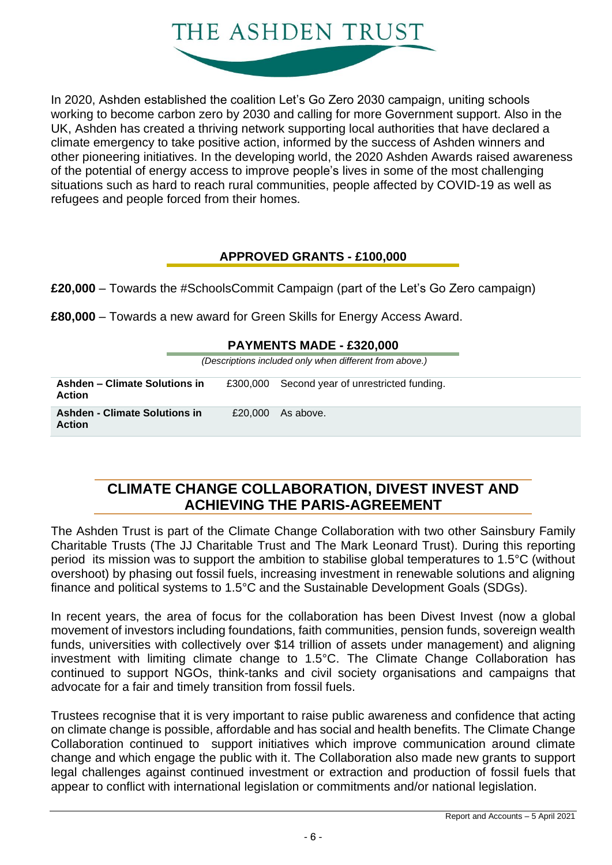

In 2020, Ashden established the coalition Let's Go Zero 2030 campaign, uniting schools working to become carbon zero by 2030 and calling for more Government support. Also in the UK, Ashden has created a thriving network supporting local authorities that have declared a climate emergency to take positive action, informed by the success of Ashden winners and other pioneering initiatives. In the developing world, the 2020 Ashden Awards raised awareness of the potential of energy access to improve people's lives in some of the most challenging situations such as hard to reach rural communities, people affected by COVID-19 as well as refugees and people forced from their homes.

### **APPROVED GRANTS - £100,000**

**£20,000** – Towards the #SchoolsCommit Campaign (part of the Let's Go Zero campaign)

**£80,000** – Towards a new award for Green Skills for Energy Access Award.

| (Descriptions included only when different from above.)                                            |  |         |           |  |  |  |
|----------------------------------------------------------------------------------------------------|--|---------|-----------|--|--|--|
| Ashden – Climate Solutions in<br>Second year of unrestricted funding.<br>£300.000<br><b>Action</b> |  |         |           |  |  |  |
| <b>Ashden - Climate Solutions in</b><br><b>Action</b>                                              |  | £20,000 | As above. |  |  |  |

### **CLIMATE CHANGE COLLABORATION, DIVEST INVEST AND ACHIEVING THE PARIS-AGREEMENT**

The Ashden Trust is part of the Climate Change Collaboration with two other Sainsbury Family Charitable Trusts (The JJ Charitable Trust and The Mark Leonard Trust). During this reporting period its mission was to support the ambition to stabilise global temperatures to 1.5°C (without overshoot) by phasing out fossil fuels, increasing investment in renewable solutions and aligning finance and political systems to 1.5°C and the Sustainable Development Goals (SDGs).

In recent years, the area of focus for the collaboration has been Divest Invest (now a global movement of investors including foundations, faith communities, pension funds, sovereign wealth funds, universities with collectively over \$14 trillion of assets under management) and aligning investment with limiting climate change to 1.5°C. The Climate Change Collaboration has continued to support NGOs, think-tanks and civil society organisations and campaigns that advocate for a fair and timely transition from fossil fuels.

Trustees recognise that it is very important to raise public awareness and confidence that acting on climate change is possible, affordable and has social and health benefits. The Climate Change Collaboration continued to support initiatives which improve communication around climate change and which engage the public with it. The Collaboration also made new grants to support legal challenges against continued investment or extraction and production of fossil fuels that appear to conflict with international legislation or commitments and/or national legislation.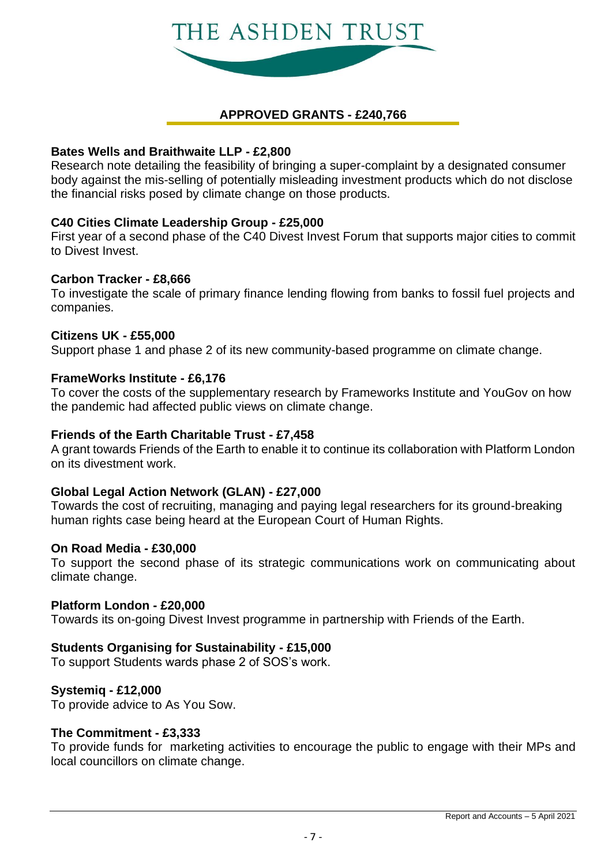

### **APPROVED GRANTS - £240,766**

### **Bates Wells and Braithwaite LLP - £2,800**

Research note detailing the feasibility of bringing a super-complaint by a designated consumer body against the mis-selling of potentially misleading investment products which do not disclose the financial risks posed by climate change on those products.

### **C40 Cities Climate Leadership Group - £25,000**

First year of a second phase of the C40 Divest Invest Forum that supports major cities to commit to Divest Invest.

### **Carbon Tracker - £8,666**

To investigate the scale of primary finance lending flowing from banks to fossil fuel projects and companies.

### **Citizens UK - £55,000**

Support phase 1 and phase 2 of its new community-based programme on climate change.

### **FrameWorks Institute - £6,176**

To cover the costs of the supplementary research by Frameworks Institute and YouGov on how the pandemic had affected public views on climate change.

### **Friends of the Earth Charitable Trust - £7,458**

A grant towards Friends of the Earth to enable it to continue its collaboration with Platform London on its divestment work.

### **Global Legal Action Network (GLAN) - £27,000**

Towards the cost of recruiting, managing and paying legal researchers for its ground-breaking human rights case being heard at the European Court of Human Rights.

### **On Road Media - £30,000**

To support the second phase of its strategic communications work on communicating about climate change.

### **Platform London - £20,000**

Towards its on-going Divest Invest programme in partnership with Friends of the Earth.

### **Students Organising for Sustainability - £15,000**

To support Students wards phase 2 of SOS's work.

### **Systemiq - £12,000**

To provide advice to As You Sow.

### **The Commitment - £3,333**

To provide funds for marketing activities to encourage the public to engage with their MPs and local councillors on climate change.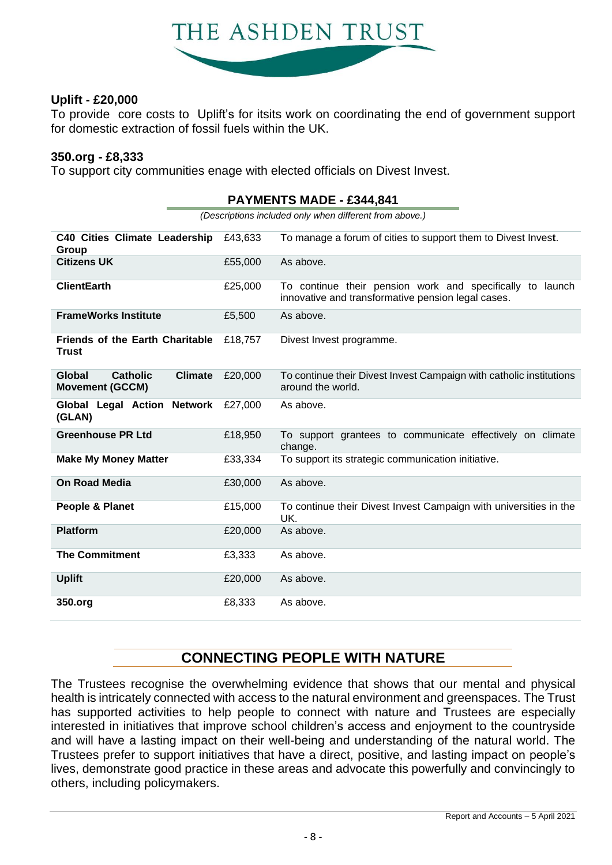

### **Uplift - £20,000**

To provide core costs to Uplift's for itsits work on coordinating the end of government support for domestic extraction of fossil fuels within the UK.

### **350.org - £8,333**

To support city communities enage with elected officials on Divest Invest.

|                                                                       | <b>PAYMENTS MADE - £344,841</b>                         |                                                                                                                 |  |  |  |  |
|-----------------------------------------------------------------------|---------------------------------------------------------|-----------------------------------------------------------------------------------------------------------------|--|--|--|--|
|                                                                       | (Descriptions included only when different from above.) |                                                                                                                 |  |  |  |  |
| <b>C40 Cities Climate Leadership</b><br>Group                         | £43,633                                                 | To manage a forum of cities to support them to Divest Invest.                                                   |  |  |  |  |
| <b>Citizens UK</b>                                                    | £55,000                                                 | As above.                                                                                                       |  |  |  |  |
| <b>ClientEarth</b>                                                    | £25,000                                                 | To continue their pension work and specifically to launch<br>innovative and transformative pension legal cases. |  |  |  |  |
| <b>FrameWorks Institute</b>                                           | £5,500                                                  | As above.                                                                                                       |  |  |  |  |
| <b>Friends of the Earth Charitable</b><br><b>Trust</b>                | £18,757                                                 | Divest Invest programme.                                                                                        |  |  |  |  |
| Global<br><b>Climate</b><br><b>Catholic</b><br><b>Movement (GCCM)</b> | £20,000                                                 | To continue their Divest Invest Campaign with catholic institutions<br>around the world.                        |  |  |  |  |
| Global Legal Action Network<br>(GLAN)                                 | £27,000                                                 | As above.                                                                                                       |  |  |  |  |
| <b>Greenhouse PR Ltd</b>                                              | £18,950                                                 | To support grantees to communicate effectively on climate<br>change.                                            |  |  |  |  |
| <b>Make My Money Matter</b>                                           | £33,334                                                 | To support its strategic communication initiative.                                                              |  |  |  |  |
| <b>On Road Media</b>                                                  | £30,000                                                 | As above.                                                                                                       |  |  |  |  |
| People & Planet                                                       | £15,000                                                 | To continue their Divest Invest Campaign with universities in the<br>UK.                                        |  |  |  |  |
| <b>Platform</b>                                                       | £20,000                                                 | As above.                                                                                                       |  |  |  |  |
| <b>The Commitment</b>                                                 | £3,333                                                  | As above.                                                                                                       |  |  |  |  |
| <b>Uplift</b>                                                         | £20,000                                                 | As above.                                                                                                       |  |  |  |  |
| 350.org                                                               | £8,333                                                  | As above.                                                                                                       |  |  |  |  |

**CONNECTING PEOPLE WITH NATURE**

The Trustees recognise the overwhelming evidence that shows that our mental and physical health is intricately connected with access to the natural environment and greenspaces. The Trust has supported activities to help people to connect with nature and Trustees are especially interested in initiatives that improve school children's access and enjoyment to the countryside and will have a lasting impact on their well-being and understanding of the natural world. The Trustees prefer to support initiatives that have a direct, positive, and lasting impact on people's lives, demonstrate good practice in these areas and advocate this powerfully and convincingly to others, including policymakers.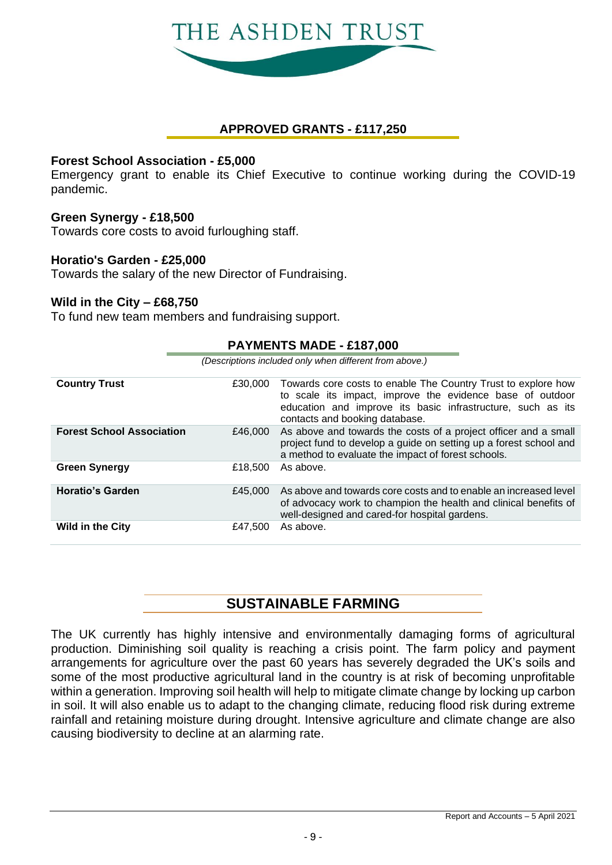

### **APPROVED GRANTS - £117,250**

### **Forest School Association - £5,000**

Emergency grant to enable its Chief Executive to continue working during the COVID-19 pandemic.

### **Green Synergy - £18,500**

Towards core costs to avoid furloughing staff.

### **Horatio's Garden - £25,000**

Towards the salary of the new Director of Fundraising.

### **Wild in the City – £68,750**

To fund new team members and fundraising support.

|                                  | <b>PAYMENIS MADE - £187,000</b>                         |                                                                                                                                                                                                                             |  |  |  |
|----------------------------------|---------------------------------------------------------|-----------------------------------------------------------------------------------------------------------------------------------------------------------------------------------------------------------------------------|--|--|--|
|                                  | (Descriptions included only when different from above.) |                                                                                                                                                                                                                             |  |  |  |
| <b>Country Trust</b>             | £30,000                                                 | Towards core costs to enable The Country Trust to explore how<br>to scale its impact, improve the evidence base of outdoor<br>education and improve its basic infrastructure, such as its<br>contacts and booking database. |  |  |  |
| <b>Forest School Association</b> | £46,000                                                 | As above and towards the costs of a project officer and a small<br>project fund to develop a guide on setting up a forest school and<br>a method to evaluate the impact of forest schools.                                  |  |  |  |
| <b>Green Synergy</b>             | £18,500                                                 | As above.                                                                                                                                                                                                                   |  |  |  |
| <b>Horatio's Garden</b>          | £45,000                                                 | As above and towards core costs and to enable an increased level<br>of advocacy work to champion the health and clinical benefits of<br>well-designed and cared-for hospital gardens.                                       |  |  |  |
| <b>Wild in the City</b>          | £47,500                                                 | As above.                                                                                                                                                                                                                   |  |  |  |

**PAYMENTS MADE - £187,000**

### **SUSTAINABLE FARMING**

The UK currently has highly intensive and environmentally damaging forms of agricultural production. Diminishing soil quality is reaching a crisis point. The farm policy and payment arrangements for agriculture over the past 60 years has severely degraded the UK's soils and some of the most productive agricultural land in the country is at risk of becoming unprofitable within a generation. Improving soil health will help to mitigate climate change by locking up carbon in soil. It will also enable us to adapt to the changing climate, reducing flood risk during extreme rainfall and retaining moisture during drought. Intensive agriculture and climate change are also causing biodiversity to decline at an alarming rate.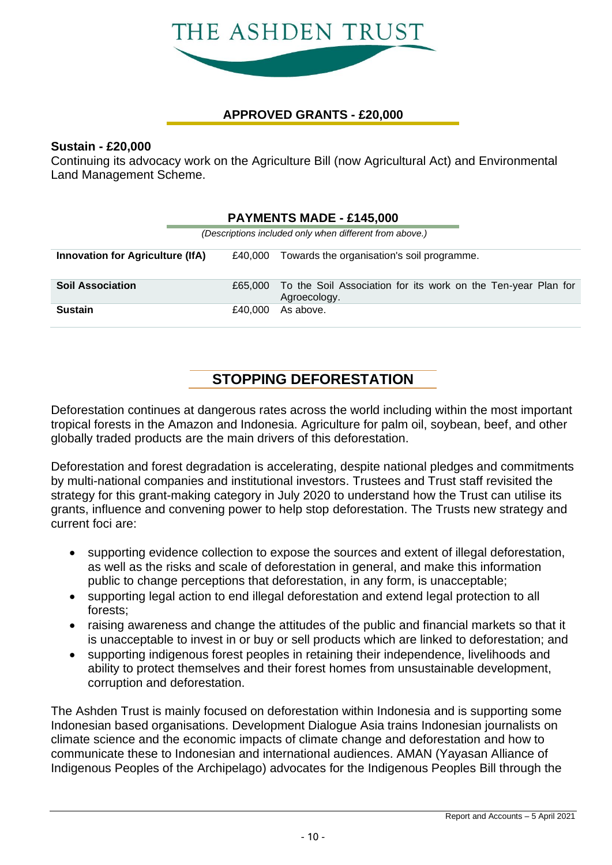

### **APPROVED GRANTS - £20,000**

### **Sustain - £20,000**

Continuing its advocacy work on the Agriculture Bill (now Agricultural Act) and Environmental Land Management Scheme.

|                                                                                                  | <b>PAYMENTS MADE - £145,000</b> |         |                                                                               |  |  |  |  |
|--------------------------------------------------------------------------------------------------|---------------------------------|---------|-------------------------------------------------------------------------------|--|--|--|--|
| (Descriptions included only when different from above.)                                          |                                 |         |                                                                               |  |  |  |  |
| <b>Innovation for Agriculture (IfA)</b><br>Towards the organisation's soil programme.<br>£40.000 |                                 |         |                                                                               |  |  |  |  |
| <b>Soil Association</b>                                                                          |                                 | £65,000 | To the Soil Association for its work on the Ten-year Plan for<br>Agroecology. |  |  |  |  |
| Sustain                                                                                          |                                 | £40.000 | As above.                                                                     |  |  |  |  |

### **STOPPING DEFORESTATION**

Deforestation continues at dangerous rates across the world including within the most important tropical forests in the Amazon and Indonesia. Agriculture for palm oil, soybean, beef, and other globally traded products are the main drivers of this deforestation.

Deforestation and forest degradation is accelerating, despite national pledges and commitments by multi-national companies and institutional investors. Trustees and Trust staff revisited the strategy for this grant-making category in July 2020 to understand how the Trust can utilise its grants, influence and convening power to help stop deforestation. The Trusts new strategy and current foci are:

- supporting evidence collection to expose the sources and extent of illegal deforestation, as well as the risks and scale of deforestation in general, and make this information public to change perceptions that deforestation, in any form, is unacceptable;
- supporting legal action to end illegal deforestation and extend legal protection to all forests;
- raising awareness and change the attitudes of the public and financial markets so that it is unacceptable to invest in or buy or sell products which are linked to deforestation; and
- supporting indigenous forest peoples in retaining their independence, livelihoods and ability to protect themselves and their forest homes from unsustainable development, corruption and deforestation.

The Ashden Trust is mainly focused on deforestation within Indonesia and is supporting some Indonesian based organisations. Development Dialogue Asia trains Indonesian journalists on climate science and the economic impacts of climate change and deforestation and how to communicate these to Indonesian and international audiences. AMAN (Yayasan Alliance of Indigenous Peoples of the Archipelago) advocates for the Indigenous Peoples Bill through the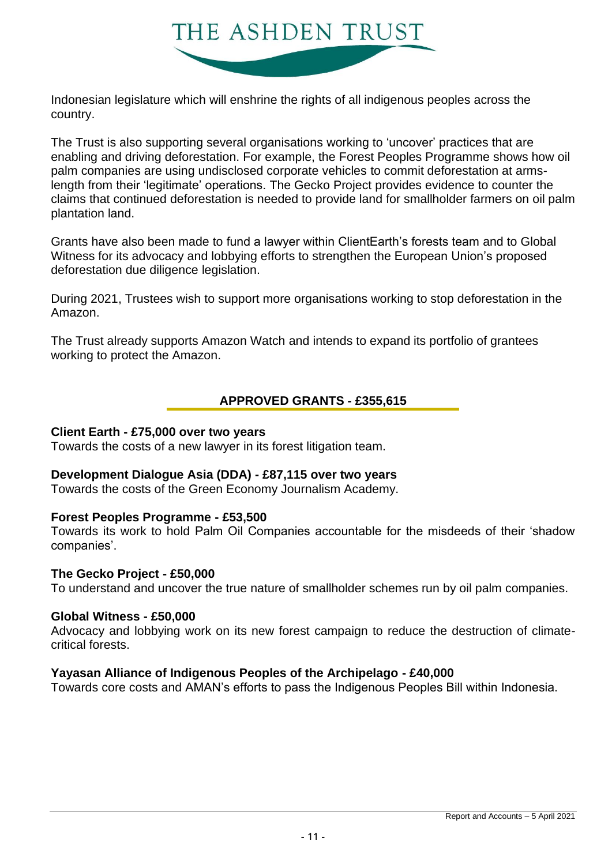

Indonesian legislature which will enshrine the rights of all indigenous peoples across the country.

The Trust is also supporting several organisations working to 'uncover' practices that are enabling and driving deforestation. For example, the Forest Peoples Programme shows how oil palm companies are using undisclosed corporate vehicles to commit deforestation at armslength from their 'legitimate' operations. The Gecko Project provides evidence to counter the claims that continued deforestation is needed to provide land for smallholder farmers on oil palm plantation land.

Grants have also been made to fund a lawyer within ClientEarth's forests team and to Global Witness for its advocacy and lobbying efforts to strengthen the European Union's proposed deforestation due diligence legislation.

During 2021, Trustees wish to support more organisations working to stop deforestation in the Amazon.

The Trust already supports Amazon Watch and intends to expand its portfolio of grantees working to protect the Amazon.

### **APPROVED GRANTS - £355,615**

### **Client Earth - £75,000 over two years**

Towards the costs of a new lawyer in its forest litigation team.

### **Development Dialogue Asia (DDA) - £87,115 over two years**

Towards the costs of the Green Economy Journalism Academy.

### **Forest Peoples Programme - £53,500**

Towards its work to hold Palm Oil Companies accountable for the misdeeds of their 'shadow companies'.

### **The Gecko Project - £50,000**

To understand and uncover the true nature of smallholder schemes run by oil palm companies.

### **Global Witness - £50,000**

Advocacy and lobbying work on its new forest campaign to reduce the destruction of climatecritical forests.

### **Yayasan Alliance of Indigenous Peoples of the Archipelago - £40,000**

Towards core costs and AMAN's efforts to pass the Indigenous Peoples Bill within Indonesia.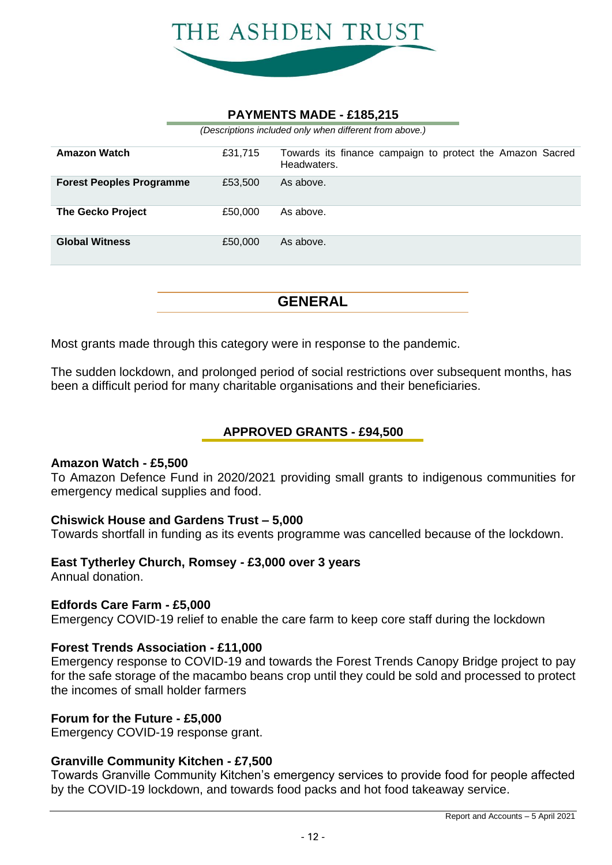

### **PAYMENTS MADE - £185,215**

*(Descriptions included only when different from above.)*

| <b>Amazon Watch</b>             | £31,715 | Towards its finance campaign to protect the Amazon Sacred<br>Headwaters. |
|---------------------------------|---------|--------------------------------------------------------------------------|
| <b>Forest Peoples Programme</b> | £53,500 | As above.                                                                |
| <b>The Gecko Project</b>        | £50,000 | As above.                                                                |
| <b>Global Witness</b>           | £50,000 | As above.                                                                |

**GENERAL**

Most grants made through this category were in response to the pandemic.

The sudden lockdown, and prolonged period of social restrictions over subsequent months, has been a difficult period for many charitable organisations and their beneficiaries.

### **APPROVED GRANTS - £94,500**

### **Amazon Watch - £5,500**

To Amazon Defence Fund in 2020/2021 providing small grants to indigenous communities for emergency medical supplies and food.

### **Chiswick House and Gardens Trust – 5,000**

Towards shortfall in funding as its events programme was cancelled because of the lockdown.

### **East Tytherley Church, Romsey - £3,000 over 3 years**

Annual donation.

### **Edfords Care Farm - £5,000**

Emergency COVID-19 relief to enable the care farm to keep core staff during the lockdown

### **Forest Trends Association - £11,000**

Emergency response to COVID-19 and towards the Forest Trends Canopy Bridge project to pay for the safe storage of the macambo beans crop until they could be sold and processed to protect the incomes of small holder farmers

### **Forum for the Future - £5,000**

Emergency COVID-19 response grant.

### **Granville Community Kitchen - £7,500**

Towards Granville Community Kitchen's emergency services to provide food for people affected by the COVID-19 lockdown, and towards food packs and hot food takeaway service.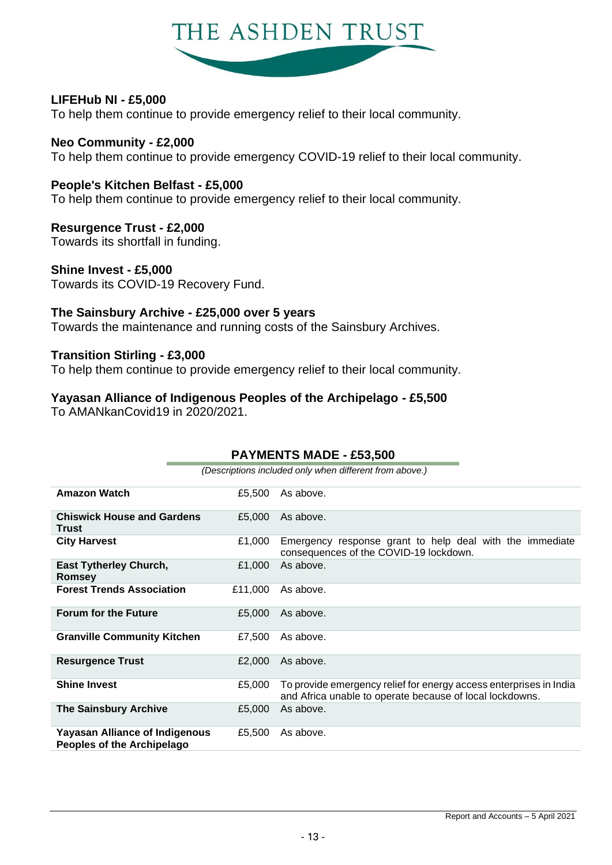

### **LIFEHub NI - £5,000**

To help them continue to provide emergency relief to their local community.

**Neo Community - £2,000** To help them continue to provide emergency COVID-19 relief to their local community.

### **People's Kitchen Belfast - £5,000**

To help them continue to provide emergency relief to their local community.

### **Resurgence Trust - £2,000**

Towards its shortfall in funding.

### **Shine Invest - £5,000**

Towards its COVID-19 Recovery Fund.

### **The Sainsbury Archive - £25,000 over 5 years**

Towards the maintenance and running costs of the Sainsbury Archives.

### **Transition Stirling - £3,000**

To help them continue to provide emergency relief to their local community.

### **Yayasan Alliance of Indigenous Peoples of the Archipelago - £5,500**

To AMANkanCovid19 in 2020/2021.

|                                                                            |                                                         | <b>PAYMENTS MADE - £53,500</b>                                                                                                 |  |  |  |  |
|----------------------------------------------------------------------------|---------------------------------------------------------|--------------------------------------------------------------------------------------------------------------------------------|--|--|--|--|
|                                                                            | (Descriptions included only when different from above.) |                                                                                                                                |  |  |  |  |
| <b>Amazon Watch</b>                                                        | £5,500                                                  | As above.                                                                                                                      |  |  |  |  |
| <b>Chiswick House and Gardens</b><br>Trust                                 | £5,000                                                  | As above.                                                                                                                      |  |  |  |  |
| <b>City Harvest</b>                                                        | £1,000                                                  | Emergency response grant to help deal with the immediate<br>consequences of the COVID-19 lockdown.                             |  |  |  |  |
| <b>East Tytherley Church,</b><br>Romsey                                    | £1,000                                                  | As above.                                                                                                                      |  |  |  |  |
| <b>Forest Trends Association</b>                                           | £11,000                                                 | As above.                                                                                                                      |  |  |  |  |
| <b>Forum for the Future</b>                                                | £5,000                                                  | As above.                                                                                                                      |  |  |  |  |
| <b>Granville Community Kitchen</b>                                         | £7,500                                                  | As above.                                                                                                                      |  |  |  |  |
| <b>Resurgence Trust</b>                                                    | £2,000                                                  | As above.                                                                                                                      |  |  |  |  |
| <b>Shine Invest</b>                                                        | £5,000                                                  | To provide emergency relief for energy access enterprises in India<br>and Africa unable to operate because of local lockdowns. |  |  |  |  |
| <b>The Sainsbury Archive</b>                                               | £5,000                                                  | As above.                                                                                                                      |  |  |  |  |
| <b>Yayasan Alliance of Indigenous</b><br><b>Peoples of the Archipelago</b> | £5,500                                                  | As above.                                                                                                                      |  |  |  |  |

### **PAYMENTS MADE - £53,500**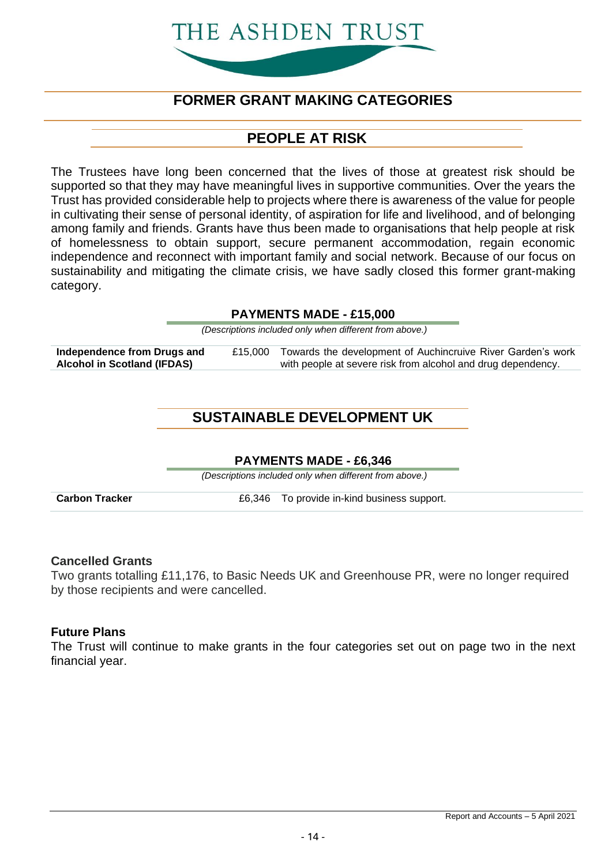# THE ASHDEN TRUST

### **FORMER GRANT MAKING CATEGORIES**

### **PEOPLE AT RISK**

The Trustees have long been concerned that the lives of those at greatest risk should be supported so that they may have meaningful lives in supportive communities. Over the years the Trust has provided considerable help to projects where there is awareness of the value for people in cultivating their sense of personal identity, of aspiration for life and livelihood, and of belonging among family and friends. Grants have thus been made to organisations that help people at risk of homelessness to obtain support, secure permanent accommodation, regain economic independence and reconnect with important family and social network. Because of our focus on sustainability and mitigating the climate crisis, we have sadly closed this former grant-making category.

### **PAYMENTS MADE - £15,000**

*(Descriptions included only when different from above.)*

**Independence from Drugs and Alcohol in Scotland (IFDAS)** £15,000 Towards the development of Auchincruive River Garden's work with people at severe risk from alcohol and drug dependency.

### **SUSTAINABLE DEVELOPMENT UK**

### **PAYMENTS MADE - £6,346**

*(Descriptions included only when different from above.)*

**Carbon Tracker E6,346** To provide in-kind business support.

### **Cancelled Grants**

Two grants totalling £11,176, to Basic Needs UK and Greenhouse PR, were no longer required by those recipients and were cancelled.

### **Future Plans**

The Trust will continue to make grants in the four categories set out on page two in the next financial year.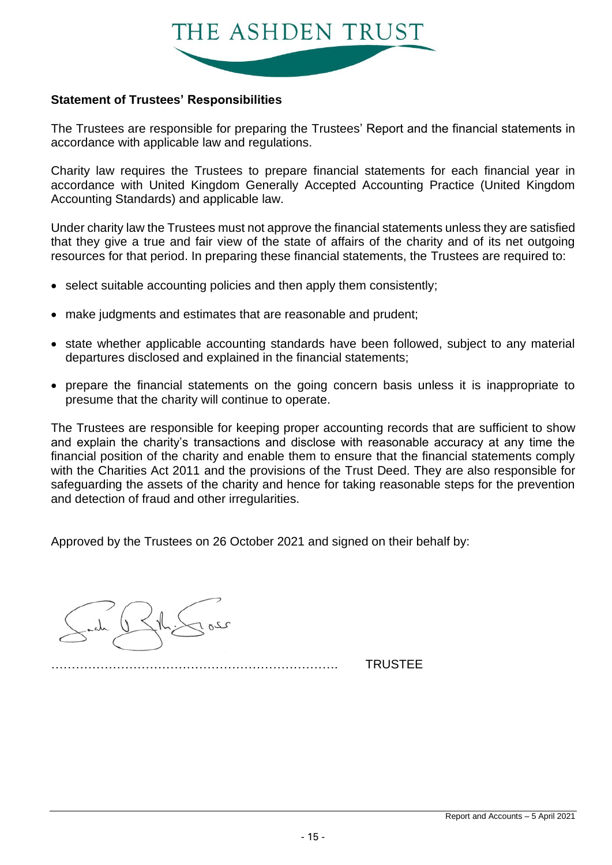

### **Statement of Trustees' Responsibilities**

The Trustees are responsible for preparing the Trustees' Report and the financial statements in accordance with applicable law and regulations.

Charity law requires the Trustees to prepare financial statements for each financial year in accordance with United Kingdom Generally Accepted Accounting Practice (United Kingdom Accounting Standards) and applicable law.

Under charity law the Trustees must not approve the financial statements unless they are satisfied that they give a true and fair view of the state of affairs of the charity and of its net outgoing resources for that period. In preparing these financial statements, the Trustees are required to:

- select suitable accounting policies and then apply them consistently;
- make judgments and estimates that are reasonable and prudent;
- state whether applicable accounting standards have been followed, subject to any material departures disclosed and explained in the financial statements;
- prepare the financial statements on the going concern basis unless it is inappropriate to presume that the charity will continue to operate.

The Trustees are responsible for keeping proper accounting records that are sufficient to show and explain the charity's transactions and disclose with reasonable accuracy at any time the financial position of the charity and enable them to ensure that the financial statements comply with the Charities Act 2011 and the provisions of the Trust Deed. They are also responsible for safeguarding the assets of the charity and hence for taking reasonable steps for the prevention and detection of fraud and other irregularities.

Approved by the Trustees on 26 October 2021 and signed on their behalf by:



……………………………………………………………. TRUSTEE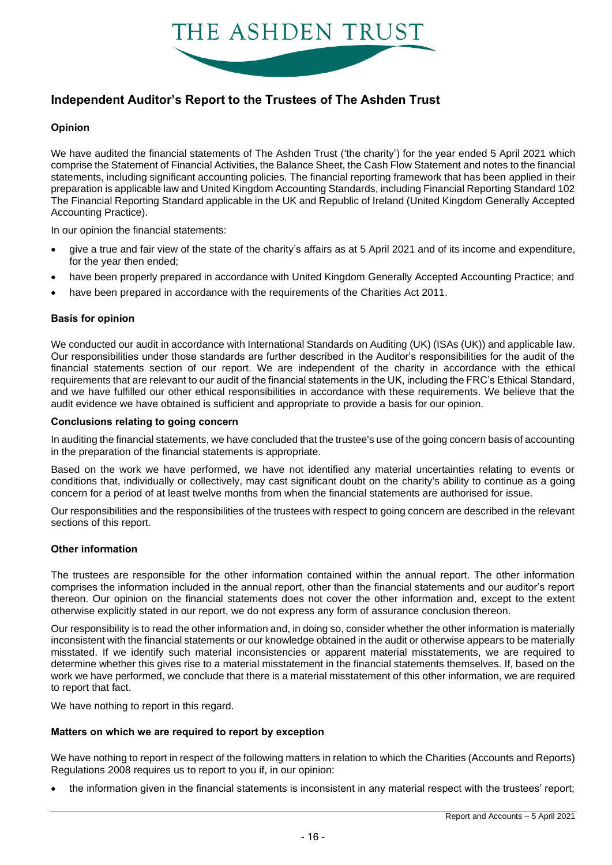

### **Independent Auditor's Report to the Trustees of The Ashden Trust**

#### **Opinion**

We have audited the financial statements of The Ashden Trust ('the charity') for the year ended 5 April 2021 which comprise the Statement of Financial Activities, the Balance Sheet, the Cash Flow Statement and notes to the financial statements, including significant accounting policies. The financial reporting framework that has been applied in their preparation is applicable law and United Kingdom Accounting Standards, including Financial Reporting Standard 102 The Financial Reporting Standard applicable in the UK and Republic of Ireland (United Kingdom Generally Accepted Accounting Practice).

In our opinion the financial statements:

- give a true and fair view of the state of the charity's affairs as at 5 April 2021 and of its income and expenditure, for the year then ended;
- have been properly prepared in accordance with United Kingdom Generally Accepted Accounting Practice; and
- have been prepared in accordance with the requirements of the Charities Act 2011.

#### **Basis for opinion**

We conducted our audit in accordance with International Standards on Auditing (UK) (ISAs (UK)) and applicable law. Our responsibilities under those standards are further described in the Auditor's responsibilities for the audit of the financial statements section of our report. We are independent of the charity in accordance with the ethical requirements that are relevant to our audit of the financial statements in the UK, including the FRC's Ethical Standard, and we have fulfilled our other ethical responsibilities in accordance with these requirements. We believe that the audit evidence we have obtained is sufficient and appropriate to provide a basis for our opinion.

#### **Conclusions relating to going concern**

In auditing the financial statements, we have concluded that the trustee's use of the going concern basis of accounting in the preparation of the financial statements is appropriate.

Based on the work we have performed, we have not identified any material uncertainties relating to events or conditions that, individually or collectively, may cast significant doubt on the charity's ability to continue as a going concern for a period of at least twelve months from when the financial statements are authorised for issue.

Our responsibilities and the responsibilities of the trustees with respect to going concern are described in the relevant sections of this report.

#### **Other information**

The trustees are responsible for the other information contained within the annual report. The other information comprises the information included in the annual report, other than the financial statements and our auditor's report thereon. Our opinion on the financial statements does not cover the other information and, except to the extent otherwise explicitly stated in our report, we do not express any form of assurance conclusion thereon.

Our responsibility is to read the other information and, in doing so, consider whether the other information is materially inconsistent with the financial statements or our knowledge obtained in the audit or otherwise appears to be materially misstated. If we identify such material inconsistencies or apparent material misstatements, we are required to determine whether this gives rise to a material misstatement in the financial statements themselves. If, based on the work we have performed, we conclude that there is a material misstatement of this other information, we are required to report that fact.

We have nothing to report in this regard.

#### **Matters on which we are required to report by exception**

We have nothing to report in respect of the following matters in relation to which the Charities (Accounts and Reports) Regulations 2008 requires us to report to you if, in our opinion:

• the information given in the financial statements is inconsistent in any material respect with the trustees' report;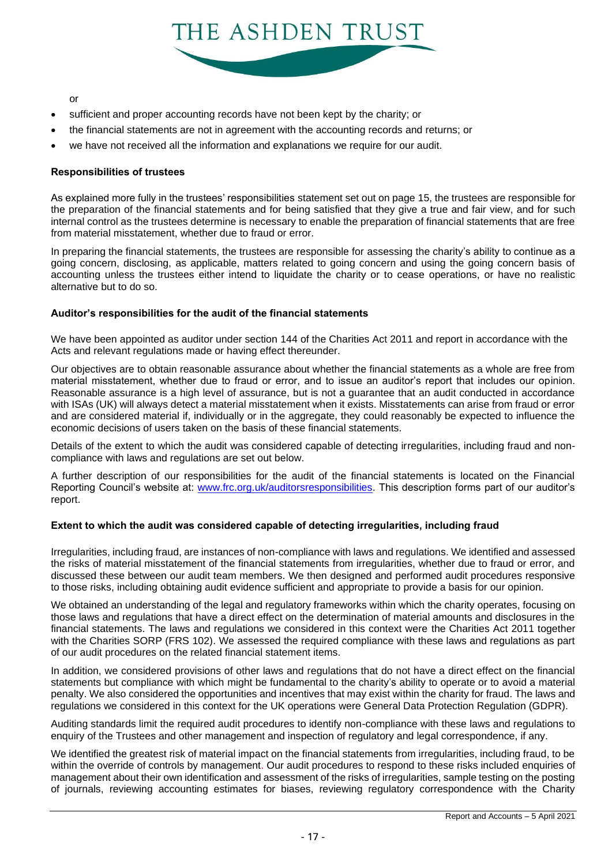

or

- sufficient and proper accounting records have not been kept by the charity; or
- the financial statements are not in agreement with the accounting records and returns; or
- we have not received all the information and explanations we require for our audit.

#### **Responsibilities of trustees**

As explained more fully in the trustees' responsibilities statement set out on page 15, the trustees are responsible for the preparation of the financial statements and for being satisfied that they give a true and fair view, and for such internal control as the trustees determine is necessary to enable the preparation of financial statements that are free from material misstatement, whether due to fraud or error.

In preparing the financial statements, the trustees are responsible for assessing the charity's ability to continue as a going concern, disclosing, as applicable, matters related to going concern and using the going concern basis of accounting unless the trustees either intend to liquidate the charity or to cease operations, or have no realistic alternative but to do so.

#### **Auditor's responsibilities for the audit of the financial statements**

We have been appointed as auditor under section 144 of the Charities Act 2011 and report in accordance with the Acts and relevant regulations made or having effect thereunder.

Our objectives are to obtain reasonable assurance about whether the financial statements as a whole are free from material misstatement, whether due to fraud or error, and to issue an auditor's report that includes our opinion. Reasonable assurance is a high level of assurance, but is not a guarantee that an audit conducted in accordance with ISAs (UK) will always detect a material misstatement when it exists. Misstatements can arise from fraud or error and are considered material if, individually or in the aggregate, they could reasonably be expected to influence the economic decisions of users taken on the basis of these financial statements.

Details of the extent to which the audit was considered capable of detecting irregularities, including fraud and noncompliance with laws and regulations are set out below.

A further description of our responsibilities for the audit of the financial statements is located on the Financial Reporting Council's website at: [www.frc.org.uk/auditorsresponsibilities.](https://www.frc.org.uk/auditorsresponsibilities) This description forms part of our auditor's report.

#### **Extent to which the audit was considered capable of detecting irregularities, including fraud**

Irregularities, including fraud, are instances of non-compliance with laws and regulations. We identified and assessed the risks of material misstatement of the financial statements from irregularities, whether due to fraud or error, and discussed these between our audit team members. We then designed and performed audit procedures responsive to those risks, including obtaining audit evidence sufficient and appropriate to provide a basis for our opinion.

We obtained an understanding of the legal and regulatory frameworks within which the charity operates, focusing on those laws and regulations that have a direct effect on the determination of material amounts and disclosures in the financial statements. The laws and regulations we considered in this context were the Charities Act 2011 together with the Charities SORP (FRS 102). We assessed the required compliance with these laws and regulations as part of our audit procedures on the related financial statement items.

In addition, we considered provisions of other laws and regulations that do not have a direct effect on the financial statements but compliance with which might be fundamental to the charity's ability to operate or to avoid a material penalty. We also considered the opportunities and incentives that may exist within the charity for fraud. The laws and regulations we considered in this context for the UK operations were General Data Protection Regulation (GDPR).

Auditing standards limit the required audit procedures to identify non-compliance with these laws and regulations to enquiry of the Trustees and other management and inspection of regulatory and legal correspondence, if any.

We identified the greatest risk of material impact on the financial statements from irregularities, including fraud, to be within the override of controls by management. Our audit procedures to respond to these risks included enquiries of management about their own identification and assessment of the risks of irregularities, sample testing on the posting of journals, reviewing accounting estimates for biases, reviewing regulatory correspondence with the Charity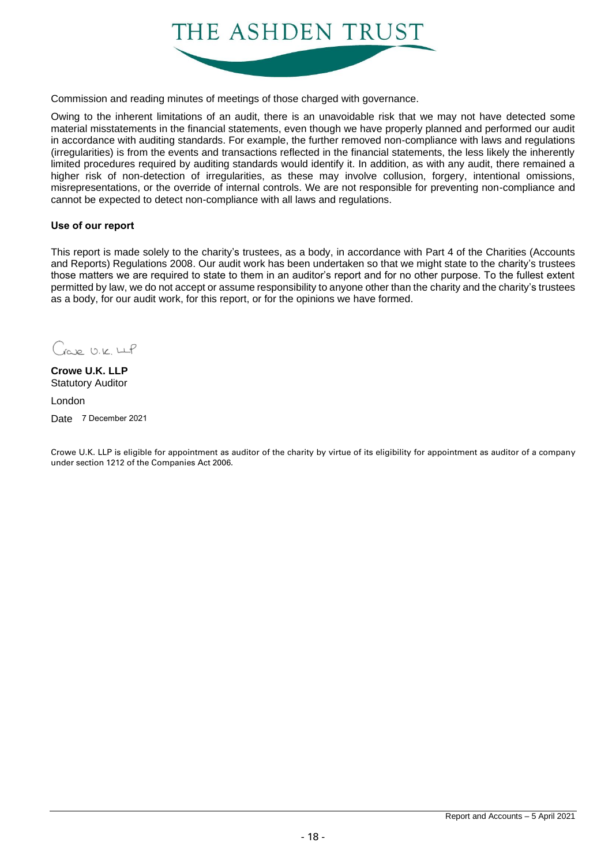

Commission and reading minutes of meetings of those charged with governance.

Owing to the inherent limitations of an audit, there is an unavoidable risk that we may not have detected some material misstatements in the financial statements, even though we have properly planned and performed our audit in accordance with auditing standards. For example, the further removed non-compliance with laws and regulations (irregularities) is from the events and transactions reflected in the financial statements, the less likely the inherently limited procedures required by auditing standards would identify it. In addition, as with any audit, there remained a higher risk of non-detection of irregularities, as these may involve collusion, forgery, intentional omissions, misrepresentations, or the override of internal controls. We are not responsible for preventing non-compliance and cannot be expected to detect non-compliance with all laws and regulations.

#### **Use of our report**

This report is made solely to the charity's trustees, as a body, in accordance with Part 4 of the Charities (Accounts and Reports) Regulations 2008. Our audit work has been undertaken so that we might state to the charity's trustees those matters we are required to state to them in an auditor's report and for no other purpose. To the fullest extent permitted by law, we do not accept or assume responsibility to anyone other than the charity and the charity's trustees as a body, for our audit work, for this report, or for the opinions we have formed.

 $C_{\text{row}}$   $12.6 \text{ Hz}$ 

**Crowe U.K. LLP** Statutory Auditor

London

Date 7 December 2021

Crowe U.K. LLP is eligible for appointment as auditor of the charity by virtue of its eligibility for appointment as auditor of a company under section 1212 of the Companies Act 2006.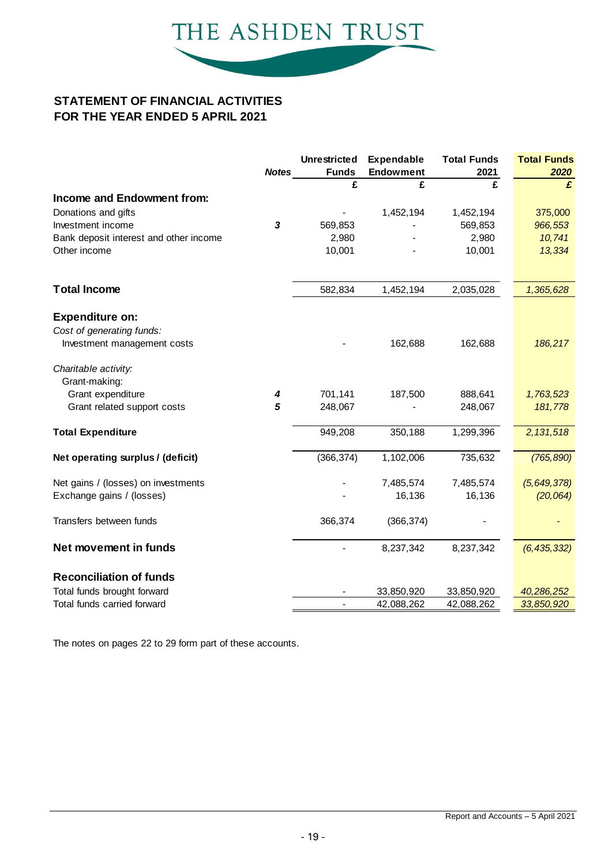

### **STATEMENT OF FINANCIAL ACTIVITIES FOR THE YEAR ENDED 5 APRIL 2021**

|                                                                                    | <b>Notes</b>              | <b>Unrestricted</b><br><b>Funds</b> | <b>Expendable</b><br><b>Endowment</b> | <b>Total Funds</b><br>2021 | <b>Total Funds</b><br>2020 |
|------------------------------------------------------------------------------------|---------------------------|-------------------------------------|---------------------------------------|----------------------------|----------------------------|
|                                                                                    |                           | £                                   | £                                     | £                          | £                          |
| Income and Endowment from:                                                         |                           |                                     |                                       |                            |                            |
| Donations and gifts                                                                |                           |                                     | 1,452,194                             | 1,452,194                  | 375,000                    |
| Investment income                                                                  | $\boldsymbol{\mathsf{3}}$ | 569,853                             |                                       | 569,853                    | 966,553                    |
| Bank deposit interest and other income                                             |                           | 2,980                               |                                       | 2,980                      | 10,741                     |
| Other income                                                                       |                           | 10,001                              |                                       | 10,001                     | 13,334                     |
| <b>Total Income</b>                                                                |                           | 582,834                             | 1,452,194                             | 2,035,028                  | 1,365,628                  |
| <b>Expenditure on:</b><br>Cost of generating funds:<br>Investment management costs |                           |                                     | 162,688                               | 162,688                    | 186,217                    |
| Charitable activity:<br>Grant-making:<br>Grant expenditure                         | 4                         | 701,141                             | 187,500                               | 888,641                    | 1,763,523                  |
| Grant related support costs                                                        | 5                         | 248,067                             |                                       | 248,067                    | 181,778                    |
| <b>Total Expenditure</b>                                                           |                           | 949,208                             | 350,188                               | 1,299,396                  | 2,131,518                  |
| Net operating surplus / (deficit)                                                  |                           | (366, 374)                          | 1,102,006                             | 735,632                    | (765, 890)                 |
| Net gains / (losses) on investments                                                |                           |                                     | 7,485,574                             | 7,485,574                  | (5,649,378)                |
| Exchange gains / (losses)                                                          |                           |                                     | 16,136                                | 16,136                     | (20, 064)                  |
| Transfers between funds                                                            |                           | 366,374                             | (366, 374)                            |                            |                            |
| Net movement in funds                                                              |                           |                                     | 8,237,342                             | 8,237,342                  | (6, 435, 332)              |
| <b>Reconciliation of funds</b>                                                     |                           |                                     |                                       |                            |                            |
| Total funds brought forward                                                        |                           |                                     | 33,850,920                            | 33,850,920                 | 40,286,252                 |
| Total funds carried forward                                                        |                           |                                     | 42,088,262                            | 42,088,262                 | 33,850,920                 |

The notes on pages 22 to 29 form part of these accounts.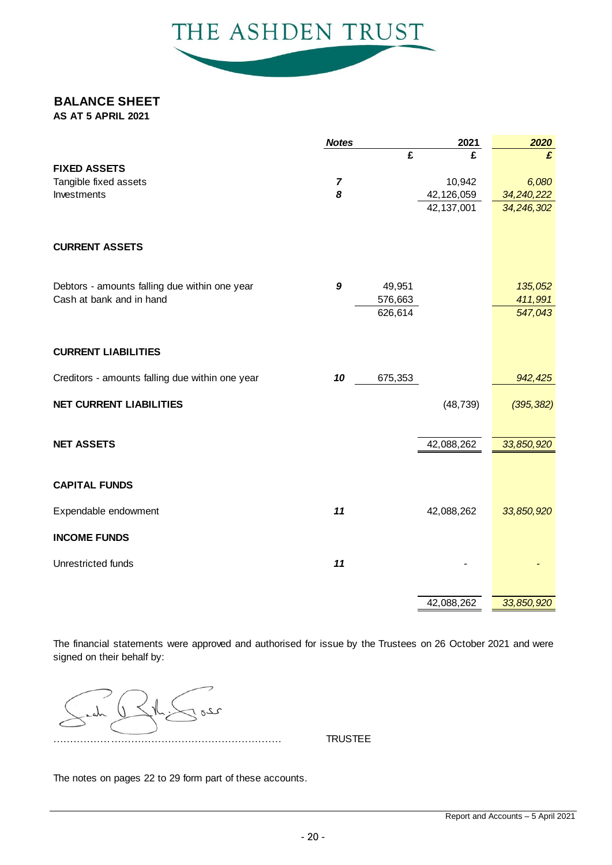

### **BALANCE SHEET**

**AS AT 5 APRIL 2021**

|                                                 | <b>Notes</b>     |         | 2021         | 2020       |
|-------------------------------------------------|------------------|---------|--------------|------------|
|                                                 |                  | £       | £            | £          |
| <b>FIXED ASSETS</b>                             |                  |         |              |            |
| Tangible fixed assets                           | 7                |         | 10,942       | 6,080      |
| Investments                                     | 8                |         | 42,126,059   | 34,240,222 |
|                                                 |                  |         | 42, 137, 001 | 34,246,302 |
| <b>CURRENT ASSETS</b>                           |                  |         |              |            |
| Debtors - amounts falling due within one year   | $\boldsymbol{9}$ | 49,951  |              | 135,052    |
| Cash at bank and in hand                        |                  | 576,663 |              | 411,991    |
|                                                 |                  | 626,614 |              | 547,043    |
| <b>CURRENT LIABILITIES</b>                      |                  |         |              |            |
| Creditors - amounts falling due within one year | 10               | 675,353 |              | 942,425    |
| <b>NET CURRENT LIABILITIES</b>                  |                  |         | (48, 739)    | (395, 382) |
| <b>NET ASSETS</b>                               |                  |         | 42,088,262   | 33,850,920 |
| <b>CAPITAL FUNDS</b>                            |                  |         |              |            |
| Expendable endowment                            | 11               |         | 42,088,262   | 33,850,920 |
| <b>INCOME FUNDS</b>                             |                  |         |              |            |
| Unrestricted funds                              | 11               |         |              |            |
|                                                 |                  |         | 42,088,262   | 33,850,920 |

The financial statements were approved and authorised for issue by the Trustees on 26 October 2021 and were signed on their behalf by:

ىى …………………………………………… TRUSTEE

The notes on pages 22 to 29 form part of these accounts.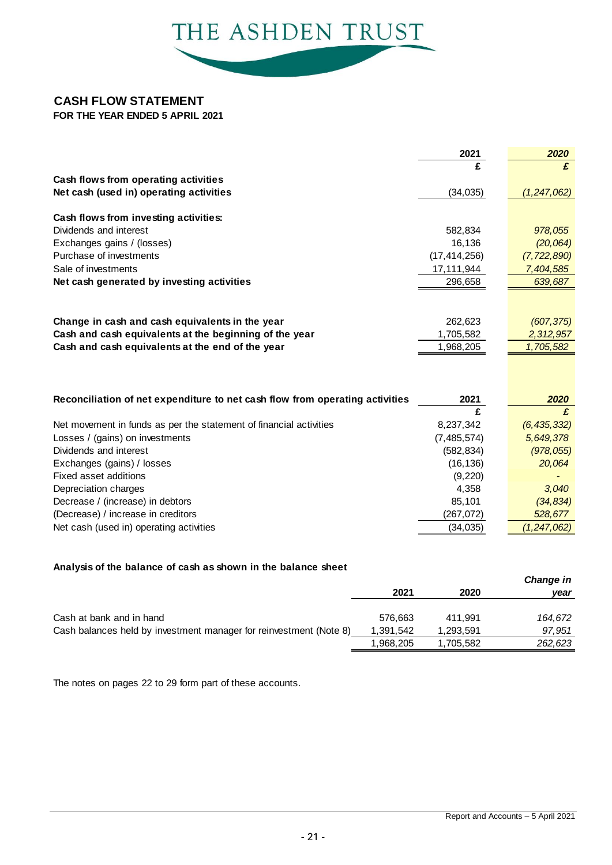

### **CASH FLOW STATEMENT**

**FOR THE YEAR ENDED 5 APRIL 2021**

|                                                                              | 2021           | 2020          |
|------------------------------------------------------------------------------|----------------|---------------|
|                                                                              |                | £             |
| Cash flows from operating activities                                         |                |               |
| Net cash (used in) operating activities                                      | (34, 035)      | (1, 247, 062) |
|                                                                              |                |               |
| Cash flows from investing activities:                                        |                |               |
| Dividends and interest                                                       | 582,834        | 978,055       |
| Exchanges gains / (losses)                                                   | 16,136         | (20, 064)     |
| Purchase of investments                                                      | (17, 414, 256) | (7, 722, 890) |
| Sale of investments                                                          | 17,111,944     | 7,404,585     |
| Net cash generated by investing activities                                   | 296,658        | 639,687       |
|                                                                              |                |               |
|                                                                              |                |               |
| Change in cash and cash equivalents in the year                              | 262,623        | (607, 375)    |
| Cash and cash equivalents at the beginning of the year                       | 1,705,582      | 2,312,957     |
| Cash and cash equivalents at the end of the year                             | 1,968,205      | 1,705,582     |
|                                                                              |                |               |
|                                                                              |                |               |
|                                                                              | 2021           |               |
| Reconciliation of net expenditure to net cash flow from operating activities | £              | 2020<br>£     |
| Net movement in funds as per the statement of financial activities           | 8,237,342      | (6, 435, 332) |
| Losses / (gains) on investments                                              | (7,485,574)    | 5,649,378     |
| Dividends and interest                                                       | (582, 834)     | (978, 055)    |
| Exchanges (gains) / losses                                                   | (16, 136)      | 20,064        |
| Fixed asset additions                                                        | (9,220)        |               |
| Depreciation charges                                                         | 4,358          | 3,040         |
| Decrease / (increase) in debtors                                             | 85,101         | (34, 834)     |
| (Decrease) / increase in creditors                                           | (267, 072)     | 528,677       |
| Net cash (used in) operating activities                                      | (34,035)       | (1, 247, 062) |
|                                                                              |                |               |

### **Analysis of the balance of cash as shown in the balance sheet**

|                                                                    |           |           | Change in |
|--------------------------------------------------------------------|-----------|-----------|-----------|
|                                                                    | 2021      | 2020      | year      |
|                                                                    |           |           |           |
| Cash at bank and in hand                                           | 576.663   | 411.991   | 164.672   |
| Cash balances held by investment manager for reinvestment (Note 8) | 1,391,542 | 1,293,591 | 97,951    |
|                                                                    | 1,968,205 | 1,705,582 | 262,623   |
|                                                                    |           |           |           |

The notes on pages 22 to 29 form part of these accounts.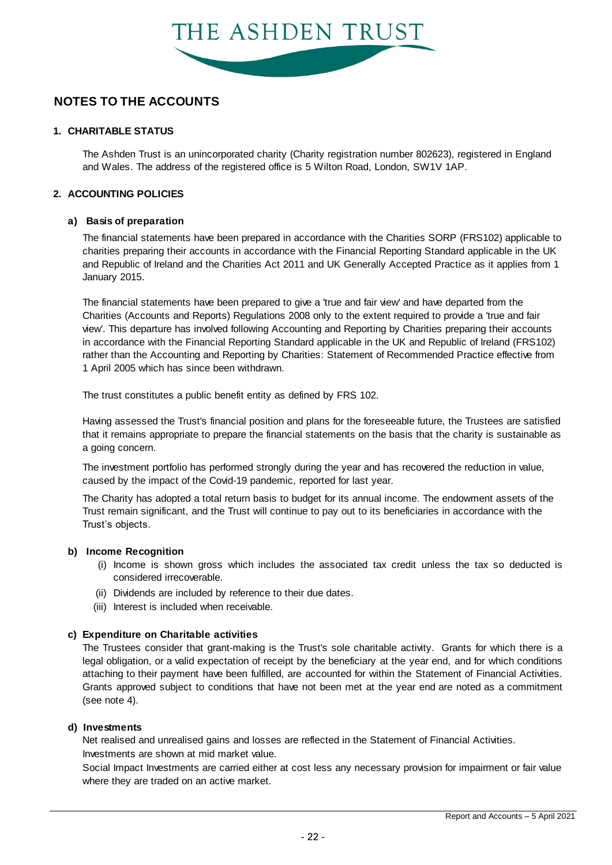

### **1. CHARITABLE STATUS**

The Ashden Trust is an unincorporated charity (Charity registration number 802623), registered in England and Wales. The address of the registered office is 5 Wilton Road, London, SW1V 1AP.

#### **2. ACCOUNTING POLICIES**

#### **a) Basis of preparation**

The financial statements have been prepared in accordance with the Charities SORP (FRS102) applicable to charities preparing their accounts in accordance with the Financial Reporting Standard applicable in the UK and Republic of Ireland and the Charities Act 2011 and UK Generally Accepted Practice as it applies from 1 January 2015.

The financial statements have been prepared to give a 'true and fair view' and have departed from the Charities (Accounts and Reports) Regulations 2008 only to the extent required to provide a 'true and fair view'. This departure has involved following Accounting and Reporting by Charities preparing their accounts in accordance with the Financial Reporting Standard applicable in the UK and Republic of Ireland (FRS102) rather than the Accounting and Reporting by Charities: Statement of Recommended Practice effective from 1 April 2005 which has since been withdrawn.

The trust constitutes a public benefit entity as defined by FRS 102.

Having assessed the Trust's financial position and plans for the foreseeable future, the Trustees are satisfied that it remains appropriate to prepare the financial statements on the basis that the charity is sustainable as a going concern.

The investment portfolio has performed strongly during the year and has recovered the reduction in value, caused by the impact of the Covid-19 pandemic, reported for last year.

The Charity has adopted a total return basis to budget for its annual income. The endowment assets of the Trust remain significant, and the Trust will continue to pay out to its beneficiaries in accordance with the Trust's objects.

#### **b) Income Recognition**

- (i) Infiant significant, and the frust will continue to pay out to its beneficiantes in accordance with the objects.<br>
Income is shown gross which includes the associated tax credit unless the tax so deducted is<br>
considered irr considered irrecoverable.
- (ii) Dividends are included by reference to their due dates.
- (iii) Interest is included when receivable.

#### **c) Expenditure on Charitable activities**

The Trustees consider that grant-making is the Trust's sole charitable activity. Grants for which there is a legal obligation, or a valid expectation of receipt by the beneficiary at the year end, and for which conditions **Expenditure on Charitable activities**<br>The Trustees consider that grant-making is the Trust's sole charitable activity. Grants for which there is a<br>legal obligation, or a valid expectation of receipt by the beneficiary at Experiencius and Critical and The Trust's sole charitable activity. Grants for which there is a legal obligation, or a valid expectation of receipt by the beneficiary at the year end, and for which conditions attaching to (see note 4).

#### **d) Investments**

Investments are shown at mid market value. Net realised and unrealised gains and losses are reflected in the Statement of Financial Activities.

Social Impact Investments are carried either at cost less any necessary provision for impairment or fair value where they are traded on an active market.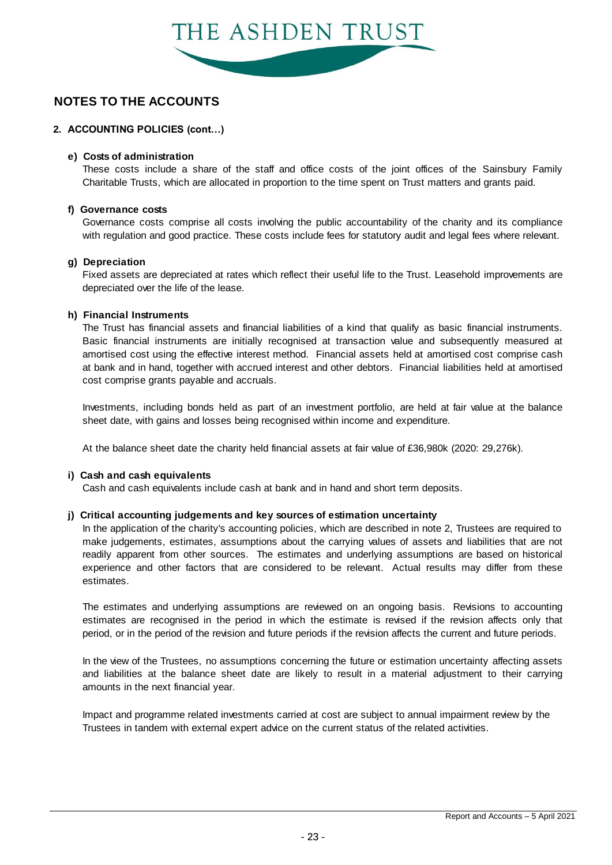

### **2. ACCOUNTING POLICIES (cont…)**

#### **e) Costs of administration**

These costs include a share of the staff and office costs of the joint offices of the Sainsbury Family Charitable Trusts, which are allocated in proportion to the time spent on Trust matters and grants paid.

#### **f) Governance costs**

Governance costs comprise all costs involving the public accountability of the charity and its compliance with regulation and good practice. These costs include fees for statutory audit and legal fees where relevant.

#### **g) Depreciation**

Fixed assets are depreciated at rates which reflect their useful life to the Trust. Leasehold improvements are depreciated over the life of the lease.

#### **h) Financial Instruments**

The Trust has financial assets and financial liabilities of a kind that qualify as basic financial instruments. Basic financial instruments are initially recognised at transaction value and subsequently measured at amortised cost using the effective interest method. Financial assets held at amortised cost comprise cash at bank and in hand, together with accrued interest and other debtors. Financial liabilities held at amortised cost comprise grants payable and accruals.

Investments, including bonds held as part of an investment portfolio, are held at fair value at the balance sheet date, with gains and losses being recognised within income and expenditure.

At the balance sheet date the charity held financial assets at fair value of £36,980k (2020: 29,276k).

#### **i) Cash and cash equivalents**

Cash and cash equivalents include cash at bank and in hand and short term deposits.

#### **j) Critical accounting judgements and key sources of estimation uncertainty**

In the application of the charity's accounting policies, which are described in note 2, Trustees are required to make judgements, estimates, assumptions about the carrying values of assets and liabilities that are not readily apparent from other sources. The estimates and underlying assumptions are based on historical In the application of the charity's accounting policies, which are described in note 2, Trustees are required to make judgements, estimates, assumptions about the carrying values of assets and liabilities that are not read estimates. experience and other factors that are considered to be relevant. Actual results may differ from these estimates.<br>The estimates and underlying assumptions are reviewed on an ongoing basis. Revisions to accounting

estimates are recognised in the period in which the estimate is revised if the revision affects only that

period, or in the period of the revision and future periods if the revision affects the current and future periods.<br>In the view of the Trustees, no assumptions concerning the future or estimation uncertainty affecting asse In the view of the Trustees, no assumptions concerning the future or estimation uncertainty affecting assets amounts in the next financial year.

Impact and programme related investments carried at cost are subject to annual impairment review by the Trustees in tandem with external expert advice on the current status of the related activities.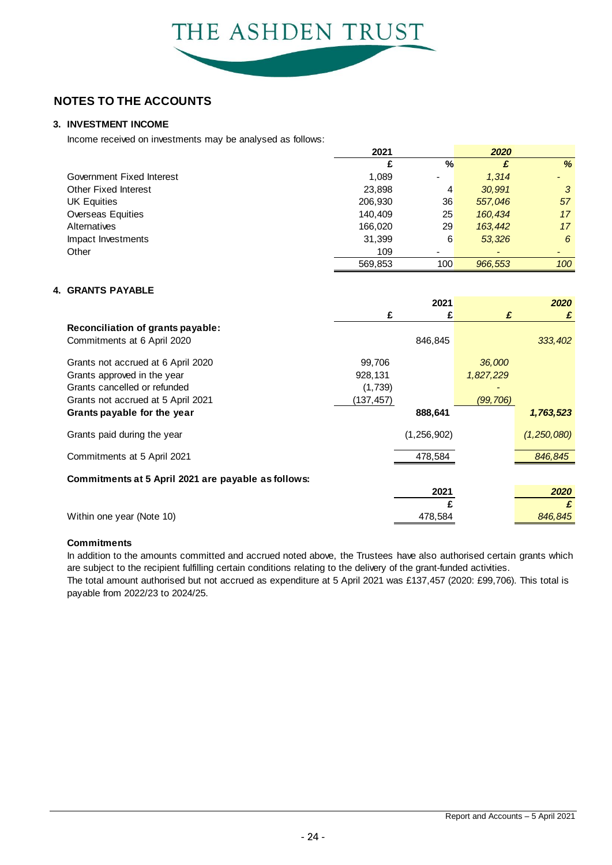### **3. INVESTMENT INCOME**

Income received on investments may be analysed as follows:

|                             | 2021    |                              | 2020                     |     |
|-----------------------------|---------|------------------------------|--------------------------|-----|
|                             |         | %                            | £                        | %   |
| Government Fixed Interest   | 1,089   | $\qquad \qquad \blacksquare$ | 1,314                    |     |
| <b>Other Fixed Interest</b> | 23,898  | 4                            | 30.991                   | 3   |
| <b>UK Equities</b>          | 206,930 | 36                           | 557,046                  | 57  |
| Overseas Equities           | 140.409 | 25                           | 160.434                  | 17  |
| Alternatives                | 166,020 | 29                           | 163,442                  | 17  |
| Impact Investments          | 31,399  | 6                            | 53.326                   | 6   |
| Other                       | 109     | $\blacksquare$               | $\overline{\phantom{0}}$ |     |
|                             | 569.853 | 100                          | 966.553                  | 100 |

#### **4. GRANTS PAYABLE**

|                                                     |           | 2021          |           | 2020        |
|-----------------------------------------------------|-----------|---------------|-----------|-------------|
|                                                     | £         | £             | £         | £           |
| Reconciliation of grants payable:                   |           |               |           |             |
| Commitments at 6 April 2020                         |           | 846,845       |           | 333,402     |
| Grants not accrued at 6 April 2020                  | 99,706    |               | 36,000    |             |
| Grants approved in the year                         | 928,131   |               | 1,827,229 |             |
| Grants cancelled or refunded                        | (1,739)   |               |           |             |
| Grants not accrued at 5 April 2021                  | (137,457) |               | (99, 706) |             |
| Grants payable for the year                         |           | 888,641       |           | 1,763,523   |
| Grants paid during the year                         |           | (1, 256, 902) |           | (1,250,080) |
| Commitments at 5 April 2021                         |           | 478,584       |           | 846,845     |
| Commitments at 5 April 2021 are payable as follows: |           |               |           |             |
|                                                     |           | 2021          |           | 2020        |
|                                                     |           |               |           | £           |
| Within one year (Note 10)                           |           | 478,584       |           | 846,845     |

#### **Commitments**

In addition to the amounts committed and accrued noted above, the Trustees have also authorised certain grants which are subject to the recipient fulfilling certain conditions relating to the delivery of the grant-funded activities.

The total amount authorised but not accrued as expenditure at 5 April 2021 was £137,457 (2020: £99,706). This total is payable from 2022/23 to 2024/25.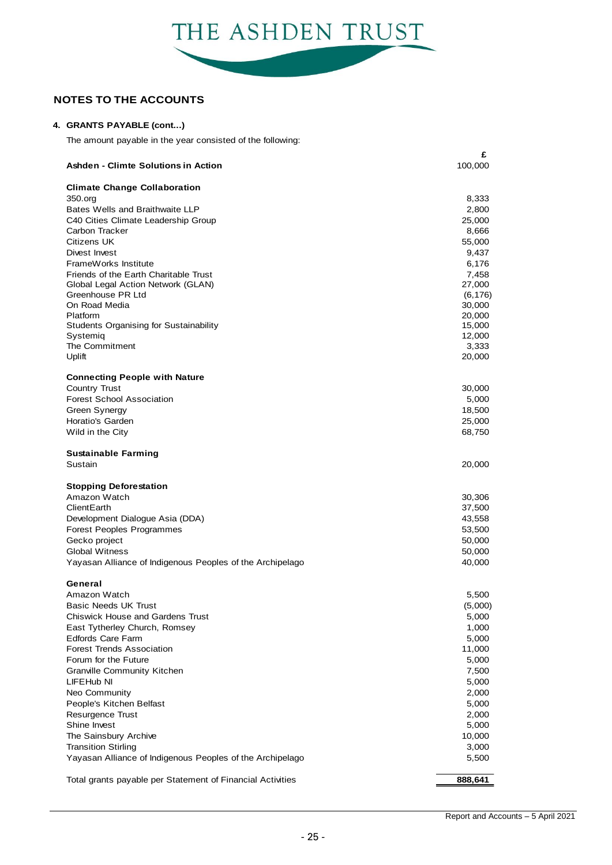

#### **4. GRANTS PAYABLE (cont...)**

The amount payable in the year consisted of the following:

| Ashden - Climte Solutions in Action                                         | £<br>100,000     |
|-----------------------------------------------------------------------------|------------------|
| <b>Climate Change Collaboration</b>                                         |                  |
| 350.org                                                                     | 8,333            |
| Bates Wells and Braithwaite LLP                                             | 2,800            |
| C40 Cities Climate Leadership Group                                         | 25,000           |
| Carbon Tracker                                                              | 8,666            |
| Citizens UK                                                                 | 55,000           |
| Divest Invest                                                               | 9,437            |
| FrameWorks Institute                                                        | 6,176            |
| Friends of the Earth Charitable Trust<br>Global Legal Action Network (GLAN) | 7,458<br>27,000  |
| Greenhouse PR Ltd                                                           | (6, 176)         |
| On Road Media                                                               | 30,000           |
| Platform                                                                    | 20,000           |
| <b>Students Organising for Sustainability</b>                               | 15,000           |
| Systemig                                                                    | 12,000           |
| The Commitment<br>Uplift                                                    | 3,333<br>20,000  |
|                                                                             |                  |
| <b>Connecting People with Nature</b><br><b>Country Trust</b>                | 30,000           |
| <b>Forest School Association</b>                                            | 5,000            |
| Green Synergy                                                               | 18,500           |
| Horatio's Garden                                                            | 25,000           |
| Wild in the City                                                            | 68,750           |
| <b>Sustainable Farming</b>                                                  |                  |
| Sustain                                                                     | 20,000           |
| <b>Stopping Deforestation</b>                                               |                  |
| Amazon Watch                                                                | 30,306           |
| ClientEarth                                                                 | 37,500           |
| Development Dialogue Asia (DDA)                                             | 43,558           |
| Forest Peoples Programmes<br>Gecko project                                  | 53,500<br>50,000 |
| <b>Global Witness</b>                                                       | 50,000           |
| Yayasan Alliance of Indigenous Peoples of the Archipelago                   | 40,000           |
|                                                                             |                  |
| General<br>Amazon Watch                                                     |                  |
| Basic Needs UK Trust                                                        | 5,500            |
| <b>Chiswick House and Gardens Trust</b>                                     | (5,000)<br>5,000 |
| East Tytherley Church, Romsey                                               | 1,000            |
| <b>Edfords Care Farm</b>                                                    | 5,000            |
| <b>Forest Trends Association</b>                                            | 11,000           |
| Forum for the Future                                                        | 5,000            |
| <b>Granville Community Kitchen</b>                                          | 7,500            |
| LIFEHub NI                                                                  | 5,000            |
| Neo Community                                                               | 2,000            |
| People's Kitchen Belfast                                                    | 5,000            |
| <b>Resurgence Trust</b><br>Shine Invest                                     | 2,000<br>5,000   |
| The Sainsbury Archive                                                       | 10,000           |
| <b>Transition Stirling</b>                                                  | 3,000            |
| Yayasan Alliance of Indigenous Peoples of the Archipelago                   | 5,500            |
| Total grants payable per Statement of Financial Activities                  | 888,641          |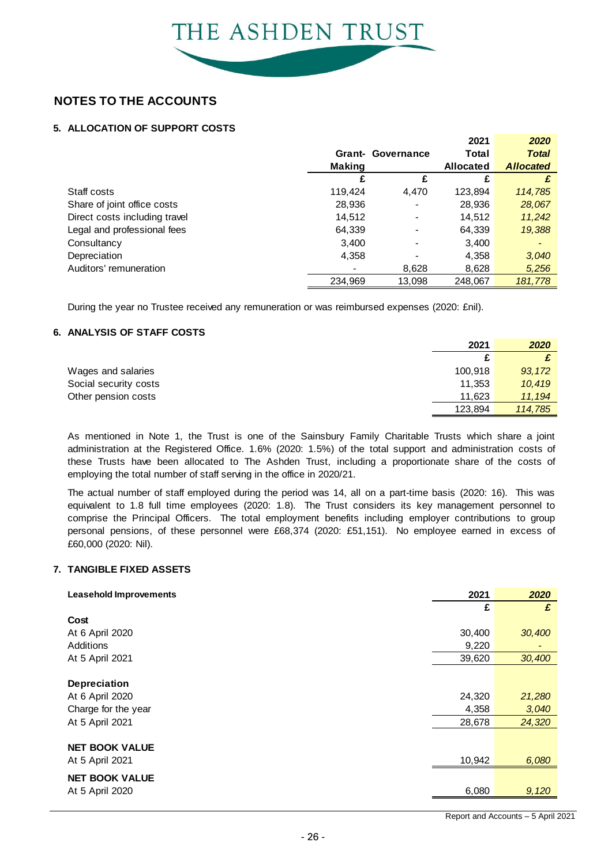### **5. ALLOCATION OF SUPPORT COSTS**

|                               |               |                          | 2021             | 2020             |
|-------------------------------|---------------|--------------------------|------------------|------------------|
|                               | Grant-        | Governance               | Total            | <b>Total</b>     |
|                               | <b>Making</b> |                          | <b>Allocated</b> | <b>Allocated</b> |
|                               |               | £                        | £                | £                |
| Staff costs                   | 119,424       | 4,470                    | 123,894          | 114,785          |
| Share of joint office costs   | 28,936        | $\overline{\phantom{0}}$ | 28,936           | 28,067           |
| Direct costs including travel | 14,512        | $\overline{\phantom{a}}$ | 14.512           | 11,242           |
| Legal and professional fees   | 64,339        | $\overline{\phantom{a}}$ | 64,339           | 19,388           |
| Consultancy                   | 3,400         | $\overline{\phantom{0}}$ | 3,400            |                  |
| Depreciation                  | 4,358         |                          | 4,358            | 3,040            |
| Auditors' remuneration        |               | 8,628                    | 8,628            | 5.256            |
|                               | 234,969       | 13.098                   | 248.067          | 181.778          |

During the year no Trustee received any remuneration or was reimbursed expenses (2020: £nil).

#### **6. ANALYSIS OF STAFF COSTS**

|                                                                                                             | 2021    | 2020    |
|-------------------------------------------------------------------------------------------------------------|---------|---------|
|                                                                                                             | £       |         |
| Wages and salaries                                                                                          | 100.918 | 93, 172 |
| Social security costs                                                                                       | 11.353  | 10,419  |
| Other pension costs                                                                                         | 11,623  | 11, 194 |
|                                                                                                             | 123.894 | 114,785 |
|                                                                                                             |         |         |
| As mentioned in Note 1, the Trust is one of the Sainsbury Family Charitable Trusts which share a joint      |         |         |
| administration at the Registered Office. 1.6% (2020: 1.5%) of the total support and administration costs of |         |         |

administration at the Registered Office. 1.6% (2020: 1.5%) of the total support and administration costs of TES, 034 TH, 760<br>As mentioned in Note 1, the Trust is one of the Sainsbury Family Charitable Trusts which share a joint<br>administration at the Registered Office. 1.6% (2020: 1.5%) of the total support and administration cos employing the total number of staff serving in the office in 2020/21.

The actual number of staff employed during the period was 14, all on a part-time basis (2020: 16). This was these Trusts have been allocated to The Ashden Trust, including a proportionate share of the costs of employing the total number of staff serving in the office in 2020/21.<br>The actual number of staff employed during the per employing the total number of staff serving in the office in 2020/21.<br>The actual number of staff employed during the period was 14, all on a part-time basis (2020: 16). This was<br>equivalent to 1.8 full time employees (2020: personal pensions, of these personnel were £68,374 (2020: £51,151). No employee earned in excess of £60,000 (2020: Nil).

#### **7. TANGIBLE FIXED ASSETS**

| <b>Leasehold Improvements</b> | 2021   | 2020   |
|-------------------------------|--------|--------|
|                               | £      | £      |
| Cost                          |        |        |
| At 6 April 2020               | 30,400 | 30,400 |
| Additions                     | 9,220  |        |
| At 5 April 2021               | 39,620 | 30,400 |
|                               |        |        |
| <b>Depreciation</b>           |        |        |
| At 6 April 2020               | 24,320 | 21,280 |
| Charge for the year           | 4,358  | 3,040  |
| At 5 April 2021               | 28,678 | 24,320 |
|                               |        |        |
| <b>NET BOOK VALUE</b>         |        |        |
| At 5 April 2021               | 10,942 | 6,080  |
| <b>NET BOOK VALUE</b>         |        |        |
| At 5 April 2020               | 6,080  | 9,120  |
|                               |        |        |

Report and Accounts – 5 April 20 2 1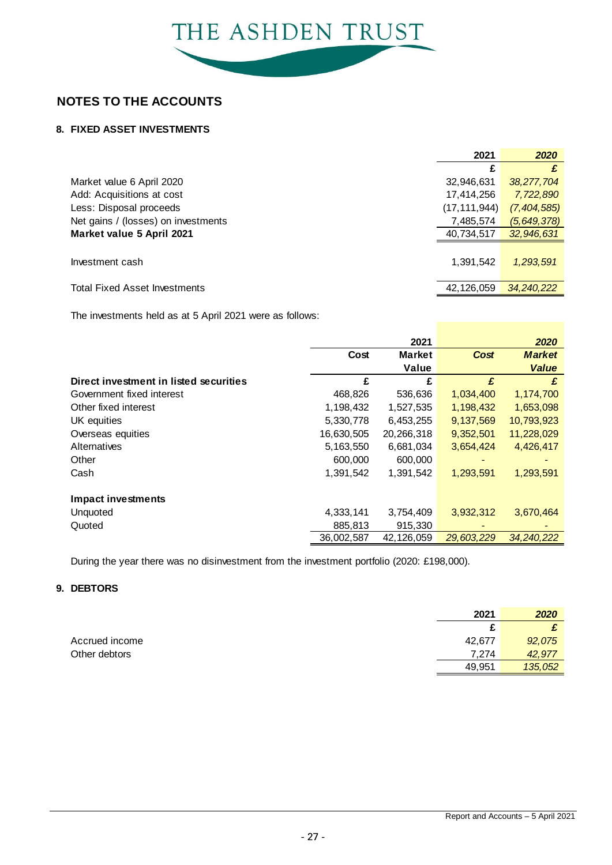

### **8. FIXED ASSET INVESTMENTS**

|                                      | 2021           | 2020          |
|--------------------------------------|----------------|---------------|
|                                      |                |               |
| Market value 6 April 2020            | 32,946,631     | 38,277,704    |
| Add: Acquisitions at cost            | 17,414,256     | 7,722,890     |
| Less: Disposal proceeds              | (17, 111, 944) | (7, 404, 585) |
| Net gains / (losses) on investments  | 7,485,574      | (5, 649, 378) |
| Market value 5 April 2021            | 40,734,517     | 32,946,631    |
| Investment cash                      | 1,391,542      | 1,293,591     |
| <b>Total Fixed Asset Investments</b> | 42,126,059     | 34,240,222    |

The investments held as at 5 April 2021 were as follows:

|                                        |            | 2021          |             | 2020          |
|----------------------------------------|------------|---------------|-------------|---------------|
|                                        | Cost       | <b>Market</b> | <b>Cost</b> | <b>Market</b> |
|                                        |            | Value         |             | <b>Value</b>  |
| Direct investment in listed securities | £          | £             | £           | £             |
| Government fixed interest              | 468,826    | 536,636       | 1,034,400   | 1,174,700     |
| Other fixed interest                   | 1,198,432  | 1,527,535     | 1,198,432   | 1,653,098     |
| UK equities                            | 5,330,778  | 6,453,255     | 9,137,569   | 10,793,923    |
| Overseas equities                      | 16,630,505 | 20,266,318    | 9,352,501   | 11,228,029    |
| Alternatives                           | 5,163,550  | 6,681,034     | 3,654,424   | 4,426,417     |
| Other                                  | 600,000    | 600,000       |             |               |
| Cash                                   | 1,391,542  | 1,391,542     | 1,293,591   | 1,293,591     |
| <b>Impact investments</b>              |            |               |             |               |
| Unquoted                               | 4,333,141  | 3,754,409     | 3,932,312   | 3,670,464     |
| Quoted                                 | 885,813    | 915,330       |             |               |
|                                        | 36,002,587 | 42,126,059    | 29.603.229  | 34,240,222    |

During the year there was no disinvestment from the investment portfolio (2020: £198,000).

### **9. DEBTORS**

|                | 2021   | 2020    |
|----------------|--------|---------|
|                |        |         |
| Accrued income | 42.677 | 92,075  |
| Other debtors  | 7.274  | 42,977  |
|                | 49,951 | 135,052 |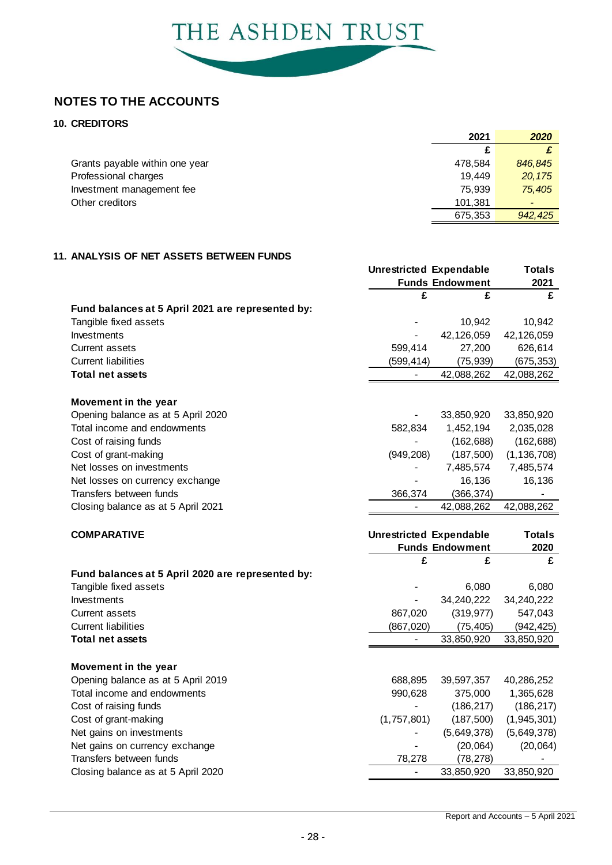

### **10. CREDITORS**

|                                | 2021    | 2020            |
|--------------------------------|---------|-----------------|
|                                |         |                 |
| Grants payable within one year | 478.584 | 846,845         |
| Professional charges           | 19.449  | 20.175          |
| Investment management fee      | 75.939  | 75,405          |
| Other creditors                | 101.381 | $\qquad \qquad$ |
|                                | 675,353 | 942.425         |

### **11. ANALYSIS OF NET ASSETS BETWEEN FUNDS**

|                                                   | <b>Unrestricted Expendable</b> |                        | <b>Totals</b> |
|---------------------------------------------------|--------------------------------|------------------------|---------------|
|                                                   |                                | <b>Funds Endowment</b> | 2021          |
|                                                   | £                              | £                      | £             |
| Fund balances at 5 April 2021 are represented by: |                                |                        |               |
| Tangible fixed assets                             |                                | 10,942                 | 10,942        |
| Investments                                       |                                | 42,126,059             | 42,126,059    |
| <b>Current assets</b>                             | 599,414                        | 27,200                 | 626,614       |
| <b>Current liabilities</b>                        | (599, 414)                     | (75, 939)              | (675, 353)    |
| <b>Total net assets</b>                           | $\overline{\phantom{a}}$       | 42,088,262             | 42,088,262    |
| Movement in the year                              |                                |                        |               |
| Opening balance as at 5 April 2020                | $\qquad \qquad \blacksquare$   | 33,850,920             | 33,850,920    |
| Total income and endowments                       | 582,834                        | 1,452,194              | 2,035,028     |
| Cost of raising funds                             |                                | (162, 688)             | (162, 688)    |
| Cost of grant-making                              | (949, 208)                     | (187, 500)             | (1, 136, 708) |
| Net losses on investments                         |                                | 7,485,574              | 7,485,574     |
| Net losses on currency exchange                   |                                | 16,136                 | 16,136        |
| Transfers between funds                           | 366,374                        | (366, 374)             |               |
| Closing balance as at 5 April 2021                |                                | 42,088,262             | 42,088,262    |
|                                                   |                                |                        |               |
|                                                   |                                |                        |               |
| <b>COMPARATIVE</b>                                | <b>Unrestricted Expendable</b> |                        | <b>Totals</b> |
|                                                   |                                | <b>Funds Endowment</b> | 2020          |
|                                                   | £                              | £                      | £             |
| Fund balances at 5 April 2020 are represented by: |                                |                        |               |
| Tangible fixed assets                             |                                | 6,080                  | 6,080         |
| Investments                                       |                                | 34,240,222             | 34,240,222    |
| <b>Current assets</b>                             | 867,020                        | (319, 977)             | 547,043       |
| <b>Current liabilities</b>                        | (867, 020)<br>$\blacksquare$   | (75, 405)              | (942, 425)    |
| <b>Total net assets</b>                           |                                | 33,850,920             | 33,850,920    |
| Movement in the year                              |                                |                        |               |
| Opening balance as at 5 April 2019                | 688,895                        | 39,597,357             | 40,286,252    |
| Total income and endowments                       | 990,628                        | 375,000                | 1,365,628     |
| Cost of raising funds                             |                                | (186, 217)             | (186, 217)    |
| Cost of grant-making                              | (1,757,801)                    | (187, 500)             | (1,945,301)   |
| Net gains on investments                          |                                | (5,649,378)            | (5,649,378)   |
| Net gains on currency exchange                    |                                | (20,064)               | (20,064)      |
| Transfers between funds                           | 78,278                         | (78, 278)              |               |